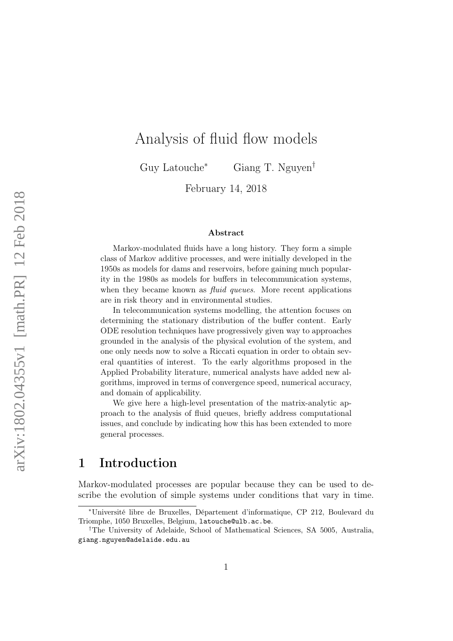# Analysis of fluid flow models

Guy Latouche<sup>∗</sup> Giang T. Nguyen†

February 14, 2018

#### Abstract

Markov-modulated fluids have a long history. They form a simple class of Markov additive processes, and were initially developed in the 1950s as models for dams and reservoirs, before gaining much popularity in the 1980s as models for buffers in telecommunication systems, when they became known as *fluid queues*. More recent applications are in risk theory and in environmental studies.

In telecommunication systems modelling, the attention focuses on determining the stationary distribution of the buffer content. Early ODE resolution techniques have progressively given way to approaches grounded in the analysis of the physical evolution of the system, and one only needs now to solve a Riccati equation in order to obtain several quantities of interest. To the early algorithms proposed in the Applied Probability literature, numerical analysts have added new algorithms, improved in terms of convergence speed, numerical accuracy, and domain of applicability.

We give here a high-level presentation of the matrix-analytic approach to the analysis of fluid queues, briefly address computational issues, and conclude by indicating how this has been extended to more general processes.

# 1 Introduction

Markov-modulated processes are popular because they can be used to describe the evolution of simple systems under conditions that vary in time.

<sup>∗</sup>Université libre de Bruxelles, Département d'informatique, CP 212, Boulevard du Triomphe, 1050 Bruxelles, Belgium, latouche@ulb.ac.be.

<sup>†</sup>The University of Adelaide, School of Mathematical Sciences, SA 5005, Australia, giang.nguyen@adelaide.edu.au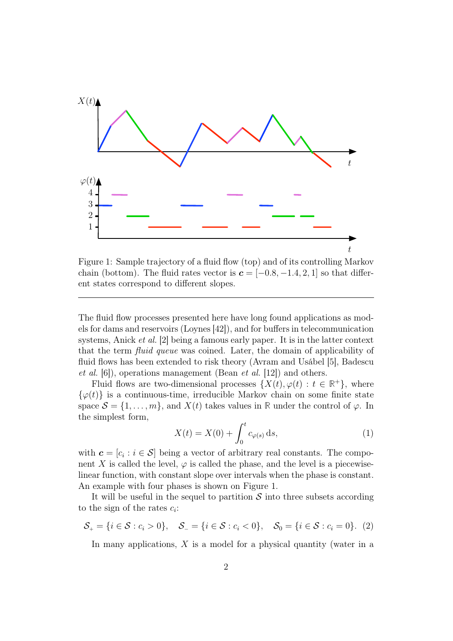

Figure 1: Sample trajectory of a fluid flow (top) and of its controlling Markov chain (bottom). The fluid rates vector is  $\boldsymbol{c} = [-0.8, -1.4, 2, 1]$  so that different states correspond to different slopes.

The fluid flow processes presented here have long found applications as models for dams and reservoirs (Loynes [42]), and for buffers in telecommunication systems, Anick et al. [2] being a famous early paper. It is in the latter context that the term fluid queue was coined. Later, the domain of applicability of fluid flows has been extended to risk theory (Avram and Usábel [5], Badescu *et al.* [6]), operations management (Bean *et al.* [12]) and others.

Fluid flows are two-dimensional processes  $\{X(t), \varphi(t) : t \in \mathbb{R}^+\}$ , where  $\{\varphi(t)\}\$ is a continuous-time, irreducible Markov chain on some finite state space  $S = \{1, \ldots, m\}$ , and  $X(t)$  takes values in **R** under the control of  $\varphi$ . In the simplest form,

$$
X(t) = X(0) + \int_0^t c_{\varphi(s)} ds,
$$
 (1)

with  $\mathbf{c} = [c_i : i \in \mathcal{S}]$  being a vector of arbitrary real constants. The component X is called the level,  $\varphi$  is called the phase, and the level is a piecewiselinear function, with constant slope over intervals when the phase is constant. An example with four phases is shown on Figure 1.

It will be useful in the sequel to partition  $\mathcal S$  into three subsets according to the sign of the rates  $c_i$ :

$$
S_{+} = \{i \in S : c_{i} > 0\}, \quad S_{-} = \{i \in S : c_{i} < 0\}, \quad S_{0} = \{i \in S : c_{i} = 0\}. \tag{2}
$$

In many applications,  $X$  is a model for a physical quantity (water in a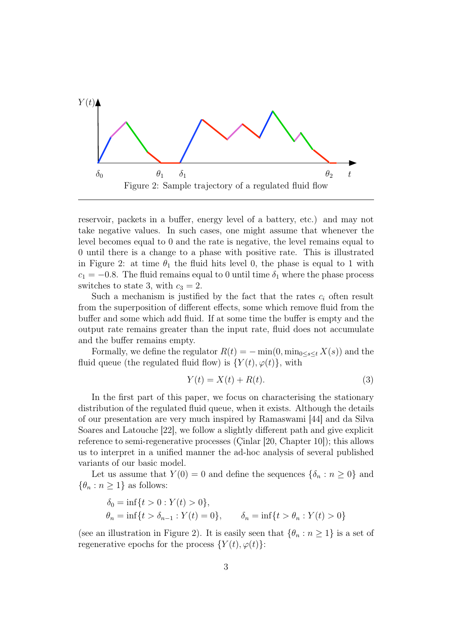

reservoir, packets in a buffer, energy level of a battery, etc.) and may not take negative values. In such cases, one might assume that whenever the level becomes equal to 0 and the rate is negative, the level remains equal to 0 until there is a change to a phase with positive rate. This is illustrated in Figure 2: at time  $\theta_1$  the fluid hits level 0, the phase is equal to 1 with  $c_1 = -0.8$ . The fluid remains equal to 0 until time  $\delta_1$  where the phase process switches to state 3, with  $c_3 = 2$ .

Such a mechanism is justified by the fact that the rates  $c_i$  often result from the superposition of different effects, some which remove fluid from the buffer and some which add fluid. If at some time the buffer is empty and the output rate remains greater than the input rate, fluid does not accumulate and the buffer remains empty.

Formally, we define the regulator  $R(t) = -\min(0, \min_{0 \leq s \leq t} X(s))$  and the fluid queue (the regulated fluid flow) is  $\{Y(t), \varphi(t)\}\,$ , with

$$
Y(t) = X(t) + R(t). \tag{3}
$$

In the first part of this paper, we focus on characterising the stationary distribution of the regulated fluid queue, when it exists. Although the details of our presentation are very much inspired by Ramaswami [44] and da Silva Soares and Latouche [22], we follow a slightly different path and give explicit reference to semi-regenerative processes (Çinlar [20, Chapter 10]); this allows us to interpret in a unified manner the ad-hoc analysis of several published variants of our basic model.

Let us assume that  $Y(0) = 0$  and define the sequences  $\{\delta_n : n \geq 0\}$  and  $\{\theta_n : n \geq 1\}$  as follows:

$$
\delta_0 = \inf\{t > 0 : Y(t) > 0\},
$$
  
\n
$$
\theta_n = \inf\{t > \delta_{n-1} : Y(t) = 0\}, \qquad \delta_n = \inf\{t > \theta_n : Y(t) > 0\}
$$

(see an illustration in Figure 2). It is easily seen that  $\{\theta_n : n \geq 1\}$  is a set of regenerative epochs for the process  $\{Y(t), \varphi(t)\}$ :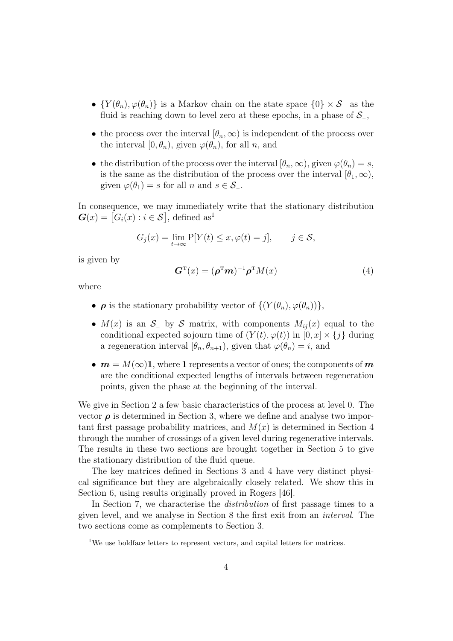- $\{Y(\theta_n), \varphi(\theta_n)\}\$ is a Markov chain on the state space  $\{0\} \times S_-\$ as the fluid is reaching down to level zero at these epochs, in a phase of  $\mathcal{S}_-$ ,
- the process over the interval  $[\theta_n,\infty)$  is independent of the process over the interval  $[0, \theta_n)$ , given  $\varphi(\theta_n)$ , for all n, and
- the distribution of the process over the interval  $[\theta_n,\infty)$ , given  $\varphi(\theta_n)=s$ , is the same as the distribution of the process over the interval  $[\theta_1,\infty)$ , given  $\varphi(\theta_1) = s$  for all n and  $s \in \mathcal{S}_-$ .

In consequence, we may immediately write that the stationary distribution  $\boldsymbol{G}(x) = [G_i(x) : i \in \mathcal{S}],$  defined as<sup>1</sup>

$$
G_j(x) = \lim_{t \to \infty} P[Y(t) \le x, \varphi(t) = j], \quad j \in \mathcal{S},
$$

is given by

$$
\boldsymbol{G}^{\mathrm{T}}(x) = (\boldsymbol{\rho}^{\mathrm{T}} \boldsymbol{m})^{-1} \boldsymbol{\rho}^{\mathrm{T}} M(x) \tag{4}
$$

where

- $\rho$  is the stationary probability vector of  $\{ (Y(\theta_n), \varphi(\theta_n)) \},\$
- $M(x)$  is an  $\mathcal{S}_-$  by S matrix, with components  $M_{ij}(x)$  equal to the conditional expected sojourn time of  $(Y(t), \varphi(t))$  in  $[0, x] \times \{j\}$  during a regeneration interval  $[\theta_n, \theta_{n+1})$ , given that  $\varphi(\theta_n) = i$ , and
- $m = M(\infty)$ 1, where 1 represents a vector of ones; the components of m are the conditional expected lengths of intervals between regeneration points, given the phase at the beginning of the interval.

We give in Section 2 a few basic characteristics of the process at level 0. The vector  $\rho$  is determined in Section 3, where we define and analyse two important first passage probability matrices, and  $M(x)$  is determined in Section 4 through the number of crossings of a given level during regenerative intervals. The results in these two sections are brought together in Section 5 to give the stationary distribution of the fluid queue.

The key matrices defined in Sections 3 and 4 have very distinct physical significance but they are algebraically closely related. We show this in Section 6, using results originally proved in Rogers [46].

In Section 7, we characterise the distribution of first passage times to a given level, and we analyse in Section 8 the first exit from an interval. The two sections come as complements to Section 3.

<sup>&</sup>lt;sup>1</sup>We use boldface letters to represent vectors, and capital letters for matrices.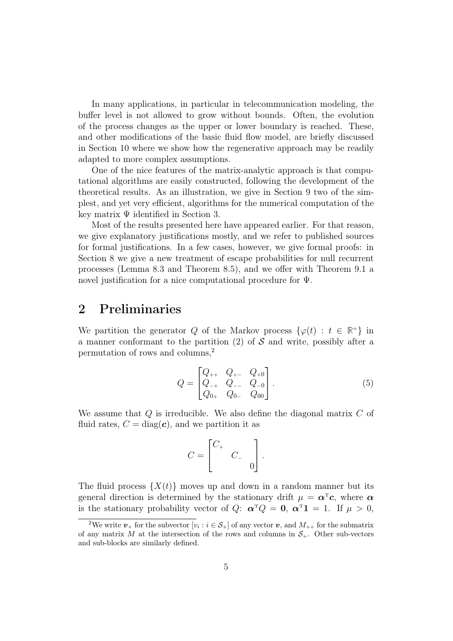In many applications, in particular in telecommunication modeling, the buffer level is not allowed to grow without bounds. Often, the evolution of the process changes as the upper or lower boundary is reached. These, and other modifications of the basic fluid flow model, are briefly discussed in Section 10 where we show how the regenerative approach may be readily adapted to more complex assumptions.

One of the nice features of the matrix-analytic approach is that computational algorithms are easily constructed, following the development of the theoretical results. As an illustration, we give in Section 9 two of the simplest, and yet very efficient, algorithms for the numerical computation of the key matrix  $\Psi$  identified in Section 3.

Most of the results presented here have appeared earlier. For that reason, we give explanatory justifications mostly, and we refer to published sources for formal justifications. In a few cases, however, we give formal proofs: in Section 8 we give a new treatment of escape probabilities for null recurrent processes (Lemma 8.3 and Theorem 8.5), and we offer with Theorem 9.1 a novel justification for a nice computational procedure for Ψ.

# 2 Preliminaries

We partition the generator Q of the Markov process  $\{\varphi(t): t \in \mathbb{R}^+\}$  in a manner conformant to the partition  $(2)$  of S and write, possibly after a permutation of rows and columns,<sup>2</sup>

$$
Q = \begin{bmatrix} Q_{++} & Q_{+-} & Q_{+0} \\ Q_{-+} & Q_{--} & Q_{-0} \\ Q_{0+} & Q_{0-} & Q_{00} \end{bmatrix} . \tag{5}
$$

We assume that  $Q$  is irreducible. We also define the diagonal matrix  $C$  of fluid rates,  $C = diag(c)$ , and we partition it as

$$
C = \begin{bmatrix} C_+ & & \\ & C_- & \\ & & 0 \end{bmatrix}.
$$

The fluid process  $\{X(t)\}\$  moves up and down in a random manner but its general direction is determined by the stationary drift  $\mu = \alpha^T c$ , where  $\alpha$ is the stationary probability vector of Q:  $\boldsymbol{\alpha}^T Q = \mathbf{0}$ ,  $\boldsymbol{\alpha}^T \mathbf{1} = 1$ . If  $\mu > 0$ ,

<sup>&</sup>lt;sup>2</sup>We write  $v_+$  for the subvector  $[v_i : i \in S_+]$  of any vector  $v$ , and  $M_{++}$  for the submatrix of any matrix M at the intersection of the rows and columns in  $S_{+}$ . Other sub-vectors and sub-blocks are similarly defined.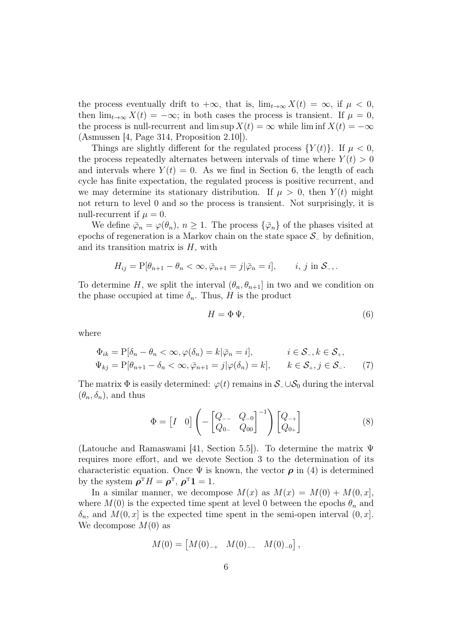the process eventually drift to  $+\infty$ , that is,  $\lim_{t\to\infty} X(t) = \infty$ , if  $\mu < 0$ , then  $\lim_{t\to\infty} X(t) = -\infty$ ; in both cases the process is transient. If  $\mu = 0$ , the process is null-recurrent and lim sup  $X(t) = \infty$  while lim inf  $X(t) = -\infty$ (Asmussen [4, Page 314, Proposition 2.10]).

Things are slightly different for the regulated process  $\{Y(t)\}\$ . If  $\mu < 0$ , the process repeatedly alternates between intervals of time where  $Y(t) > 0$ and intervals where  $Y(t) = 0$ . As we find in Section 6, the length of each cycle has finite expectation, the regulated process is positive recurrent, and we may determine its stationary distribution. If  $\mu > 0$ , then  $Y(t)$  might not return to level 0 and so the process is transient. Not surprisingly, it is null-recurrent if  $\mu = 0$ .

We define  $\bar{\varphi}_n = \varphi(\theta_n)$ ,  $n \geq 1$ . The process  $\{\bar{\varphi}_n\}$  of the phases visited at epochs of regeneration is a Markov chain on the state space  $\mathcal{S}_-$  by definition, and its transition matrix is  $H$ , with

$$
H_{ij} = \mathcal{P}[\theta_{n+1} - \theta_n < \infty, \overline{\varphi}_{n+1} = j | \overline{\varphi}_n = i], \quad i, j \text{ in } \mathcal{S}_-,.
$$

To determine H, we split the interval  $(\theta_n, \theta_{n+1}]$  in two and we condition on the phase occupied at time  $\delta_n$ . Thus, H is the product

$$
H = \Phi \Psi,\tag{6}
$$

where

$$
\Phi_{ik} = P[\delta_n - \theta_n < \infty, \varphi(\delta_n) = k | \bar{\varphi}_n = i], \qquad i \in S_-, k \in S_+,
$$
\n
$$
\Psi_{kj} = P[\theta_{n+1} - \delta_n < \infty, \bar{\varphi}_{n+1} = j | \varphi(\delta_n) = k], \qquad k \in S_+, j \in S_-. \tag{7}
$$

The matrix  $\Phi$  is easily determined:  $\varphi(t)$  remains in  $\mathcal{S}_-\cup\mathcal{S}_0$  during the interval  $(\theta_n, \delta_n)$ , and thus

$$
\Phi = \begin{bmatrix} I & 0 \end{bmatrix} \left( - \begin{bmatrix} Q_{--} & Q_{-0} \\ Q_{0-} & Q_{00} \end{bmatrix}^{-1} \right) \begin{bmatrix} Q_{-+} \\ Q_{0+} \end{bmatrix}
$$
 (8)

(Latouche and Ramaswami [41, Section 5.5]). To determine the matrix Ψ requires more effort, and we devote Section 3 to the determination of its characteristic equation. Once  $\Psi$  is known, the vector  $\rho$  in (4) is determined by the system  $\rho^{T}H = \rho^{T}$ ,  $\rho^{T}\mathbf{1} = 1$ .

In a similar manner, we decompose  $M(x)$  as  $M(x) = M(0) + M(0, x)$ , where  $M(0)$  is the expected time spent at level 0 between the epochs  $\theta_n$  and  $\delta_n$ , and  $M(0, x]$  is the expected time spent in the semi-open interval  $(0, x]$ . We decompose  $M(0)$  as

$$
M(0) = \begin{bmatrix} M(0)_{-+} & M(0)_{--} & M(0)_{-0} \end{bmatrix},
$$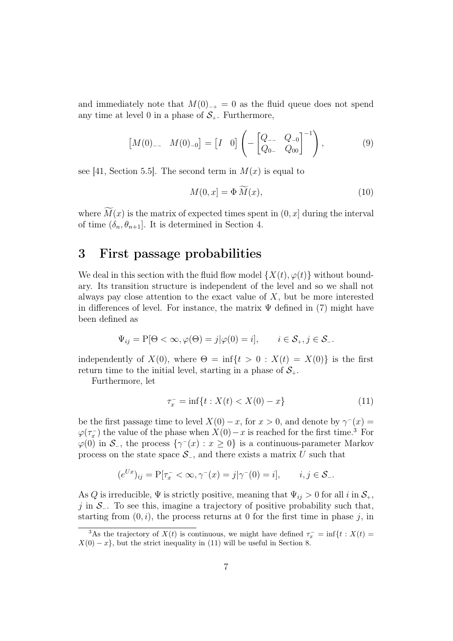and immediately note that  $M(0)_{-+} = 0$  as the fluid queue does not spend any time at level 0 in a phase of  $S_{+}$ . Furthermore,

$$
\begin{bmatrix} M(0)_{--} & M(0)_{-0} \end{bmatrix} = \begin{bmatrix} I & 0 \end{bmatrix} \left( - \begin{bmatrix} Q_{--} & Q_{-0} \\ Q_{0-} & Q_{00} \end{bmatrix}^{-1} \right), \tag{9}
$$

see [41, Section 5.5]. The second term in  $M(x)$  is equal to

$$
M(0,x] = \Phi M(x),\tag{10}
$$

where  $\widetilde{M}(x)$  is the matrix of expected times spent in  $(0, x]$  during the interval of time  $(\delta_n, \theta_{n+1})$ . It is determined in Section 4.

## 3 First passage probabilities

We deal in this section with the fluid flow model  $\{X(t), \varphi(t)\}\$  without boundary. Its transition structure is independent of the level and so we shall not always pay close attention to the exact value of  $X$ , but be more interested in differences of level. For instance, the matrix  $\Psi$  defined in (7) might have been defined as

$$
\Psi_{ij} = P[\Theta < \infty, \varphi(\Theta) = j | \varphi(0) = i], \quad i \in \mathcal{S}_+, j \in \mathcal{S}_-.
$$

independently of  $X(0)$ , where  $\Theta = \inf\{t > 0 : X(t) = X(0)\}\$ is the first return time to the initial level, starting in a phase of  $S_{+}$ .

Furthermore, let

$$
\tau_x^- = \inf\{t : X(t) < X(0) - x\} \tag{11}
$$

be the first passage time to level  $X(0) - x$ , for  $x > 0$ , and denote by  $\gamma(x) =$  $\varphi(\tau_x^-)$  the value of the phase when  $X(0)-x$  is reached for the first time.<sup>3</sup> For  $\varphi(0)$  in  $\mathcal{S}_-$ , the process  $\{\gamma^-(x) : x \geq 0\}$  is a continuous-parameter Markov process on the state space  $\mathcal{S}_-$ , and there exists a matrix U such that

$$
(e^{Ux})_{ij} = P[\tau_x^- < \infty, \gamma^-(x) = j | \gamma^-(0) = i], \quad i, j \in S_-.
$$

As Q is irreducible,  $\Psi$  is strictly positive, meaning that  $\Psi_{ij} > 0$  for all i in  $S_{+}$ , j in  $\mathcal{S}_-$ . To see this, imagine a trajectory of positive probability such that, starting from  $(0, i)$ , the process returns at 0 for the first time in phase j, in

<sup>&</sup>lt;sup>3</sup>As the trajectory of  $X(t)$  is continuous, we might have defined  $\tau_x^- = \inf\{t : X(t) =$  $X(0) - x$ , but the strict inequality in (11) will be useful in Section 8.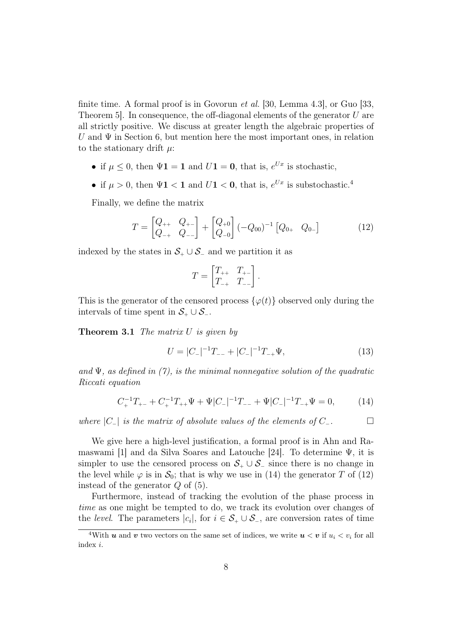finite time. A formal proof is in Govorun *et al.* [30, Lemma 4.3], or Guo [33, Theorem 5. In consequence, the off-diagonal elements of the generator  $U$  are all strictly positive. We discuss at greater length the algebraic properties of U and  $\Psi$  in Section 6, but mention here the most important ones, in relation to the stationary drift  $\mu$ :

- if  $\mu \leq 0$ , then  $\Psi \mathbf{1} = \mathbf{1}$  and  $U \mathbf{1} = \mathbf{0}$ , that is,  $e^{Ux}$  is stochastic,
- if  $\mu > 0$ , then  $\Psi \mathbf{1} < \mathbf{1}$  and  $U \mathbf{1} < \mathbf{0}$ , that is,  $e^{Ux}$  is substochastic.<sup>4</sup>

Finally, we define the matrix

$$
T = \begin{bmatrix} Q_{++} & Q_{+-} \\ Q_{-+} & Q_{--} \end{bmatrix} + \begin{bmatrix} Q_{+0} \\ Q_{-0} \end{bmatrix} (-Q_{00})^{-1} \begin{bmatrix} Q_{0+} & Q_{0-} \end{bmatrix} \tag{12}
$$

indexed by the states in  $S_+ \cup S_-$  and we partition it as

$$
T = \begin{bmatrix} T_{++} & T_{+-} \\ T_{-+} & T_{--} \end{bmatrix}.
$$

This is the generator of the censored process  $\{\varphi(t)\}\$ observed only during the intervals of time spent in  $S_+ \cup S_-$ .

**Theorem 3.1** The matrix  $U$  is given by

$$
U = |C_-|^{-1}T_{--} + |C_-|^{-1}T_{-+}\Psi,
$$
\n(13)

and Ψ, as defined in (7), is the minimal nonnegative solution of the quadratic Riccati equation

$$
C_{+}^{-1}T_{+-} + C_{+}^{-1}T_{++}\Psi + \Psi|C_{-}|^{-1}T_{--} + \Psi|C_{-}|^{-1}T_{-+}\Psi = 0, \qquad (14)
$$

where  $|C_-\rangle$  is the matrix of absolute values of the elements of  $C_-\$ .  $\Box$ 

We give here a high-level justification, a formal proof is in Ahn and Ramaswami [1] and da Silva Soares and Latouche [24]. To determine  $\Psi$ , it is simpler to use the censored process on  $S_+ \cup S_-$  since there is no change in the level while  $\varphi$  is in  $\mathcal{S}_0$ ; that is why we use in (14) the generator T of (12) instead of the generator  $Q$  of  $(5)$ .

Furthermore, instead of tracking the evolution of the phase process in time as one might be tempted to do, we track its evolution over changes of the level. The parameters  $|c_i|$ , for  $i \in S_+ \cup S_-$ , are conversion rates of time

<sup>&</sup>lt;sup>4</sup>With **u** and **v** two vectors on the same set of indices, we write  $u < v$  if  $u_i < v_i$  for all index i.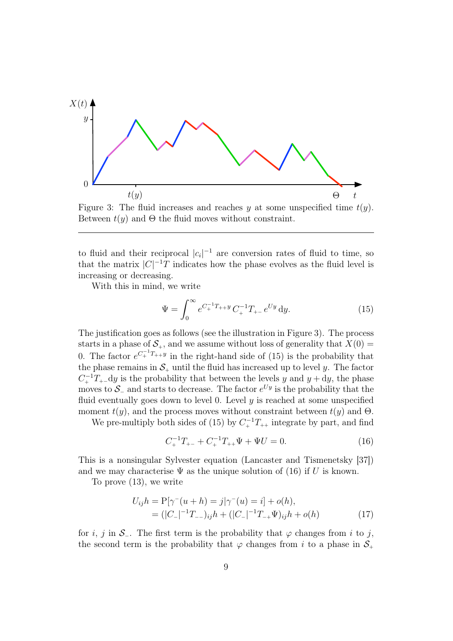

Figure 3: The fluid increases and reaches y at some unspecified time  $t(y)$ . Between  $t(y)$  and  $\Theta$  the fluid moves without constraint.

to fluid and their reciprocal  $|c_i|^{-1}$  are conversion rates of fluid to time, so that the matrix  $|C|^{-1}T$  indicates how the phase evolves as the fluid level is increasing or decreasing.

With this in mind, we write

$$
\Psi = \int_0^\infty e^{C_+^{-1}T_{++}y} C_+^{-1} T_{+-} e^{Uy} dy.
$$
\n(15)

The justification goes as follows (see the illustration in Figure 3). The process starts in a phase of  $S_+$ , and we assume without loss of generality that  $X(0)$  = 0. The factor  $e^{C_+^{-1}T_{++}y}$  in the right-hand side of (15) is the probability that the phase remains in  $S_+$  until the fluid has increased up to level y. The factor  $C_+^{-1}T_+$ -dy is the probability that between the levels y and  $y + dy$ , the phase moves to  $\mathcal{S}_-$  and starts to decrease. The factor  $e^{Uy}$  is the probability that the fluid eventually goes down to level 0. Level  $y$  is reached at some unspecified moment  $t(y)$ , and the process moves without constraint between  $t(y)$  and  $\Theta$ .

We pre-multiply both sides of (15) by  $C_+^{-1}T_{++}$  integrate by part, and find

$$
C_{+}^{-1}T_{+-} + C_{+}^{-1}T_{++}\Psi + \Psi U = 0.
$$
 (16)

This is a nonsingular Sylvester equation (Lancaster and Tismenetsky [37]) and we may characterise  $\Psi$  as the unique solution of (16) if U is known.

To prove (13), we write

$$
U_{ij}h = P[\gamma^-(u+h) = j|\gamma^-(u) = i] + o(h),
$$
  
= (|C\_-|^{-1}T\_{-})\_{ij}h + (|C\_-|^{-1}T\_{-+}\Psi)\_{ij}h + o(h) (17)

for i, j in  $S_$ . The first term is the probability that  $\varphi$  changes from i to j, the second term is the probability that  $\varphi$  changes from i to a phase in  $S_+$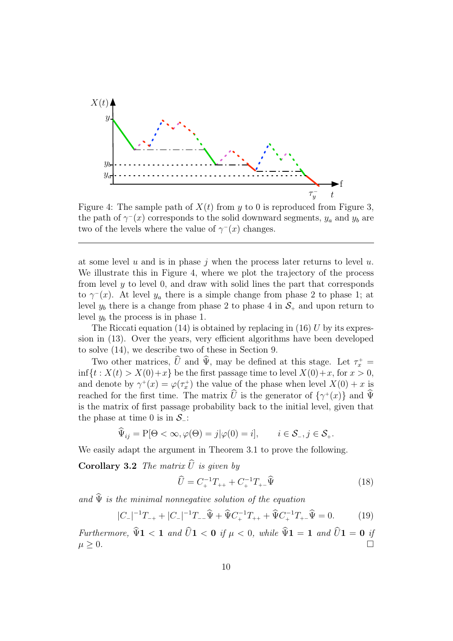

Figure 4: The sample path of  $X(t)$  from y to 0 is reproduced from Figure 3, the path of  $\gamma^-(x)$  corresponds to the solid downward segments,  $y_a$  and  $y_b$  are two of the levels where the value of  $\gamma(x)$  changes.

at some level  $u$  and is in phase  $j$  when the process later returns to level  $u$ . We illustrate this in Figure 4, where we plot the trajectory of the process from level y to level 0, and draw with solid lines the part that corresponds to  $\gamma^-(x)$ . At level  $y_a$  there is a simple change from phase 2 to phase 1; at level  $y_b$  there is a change from phase 2 to phase 4 in  $S_+$  and upon return to level  $y_b$  the process is in phase 1.

The Riccati equation (14) is obtained by replacing in (16)  $U$  by its expression in (13). Over the years, very efficient algorithms have been developed to solve (14), we describe two of these in Section 9.

Two other matrices, U and Ψ, may be defined at this stage. Let  $\tau_x^+ =$  $\inf\{t: X(t) > X(0)+x\}$  be the first passage time to level  $X(0)+x$ , for  $x > 0$ , and denote by  $\gamma^+(x) = \varphi(\tau_x^+)$  the value of the phase when level  $X(0) + x$  is reached for the first time. The matrix U is the generator of  ${\gamma^+(x)}$  and  $\Psi$ is the matrix of first passage probability back to the initial level, given that the phase at time 0 is in  $S_$ :

$$
\widehat{\Psi}_{ij} = P[\Theta < \infty, \varphi(\Theta) = j | \varphi(0) = i], \quad i \in \mathcal{S}_{-}, j \in \mathcal{S}_{+}.
$$

We easily adapt the argument in Theorem 3.1 to prove the following.

**Corollary 3.2** The matrix  $\widehat{U}$  is given by

$$
\widehat{U} = C_{+}^{-1}T_{++} + C_{+}^{-1}T_{+-}\widehat{\Psi}
$$
\n(18)

and  $\widehat{\Psi}$  is the minimal nonnegative solution of the equation

$$
|C_{-}|^{-1}T_{-+}+|C_{-}|^{-1}T_{--}\widehat{\Psi}+\widehat{\Psi}C_{+}^{-1}T_{++}+\widehat{\Psi}C_{+}^{-1}T_{+-}\widehat{\Psi}=0.
$$
 (19)

Furthermore,  $\Psi$ 1 < 1 and  $U$ 1 < 0 if  $\mu$  < 0, while  $\Psi$ 1 = 1 and  $U$ 1 = 0 if  $\mu \geq 0.$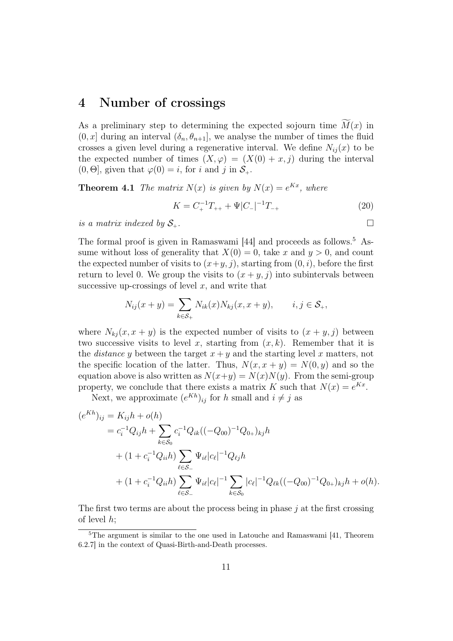#### 4 Number of crossings

As a preliminary step to determining the expected sojourn time  $M(x)$  in  $(0, x]$  during an interval  $(\delta_n, \theta_{n+1}]$ , we analyse the number of times the fluid crosses a given level during a regenerative interval. We define  $N_{ij}(x)$  to be the expected number of times  $(X, \varphi) = (X(0) + x, j)$  during the interval  $(0, \Theta]$ , given that  $\varphi(0) = i$ , for i and j in  $S_+$ .

**Theorem 4.1** The matrix  $N(x)$  is given by  $N(x) = e^{Kx}$ , where

$$
K = C_{+}^{-1}T_{++} + \Psi|C_{-}|^{-1}T_{-+}
$$
\n(20)

is a matrix indexed by  $S_{+}$ .

The formal proof is given in Ramaswami [44] and proceeds as follows.<sup>5</sup> Assume without loss of generality that  $X(0) = 0$ , take x and  $y > 0$ , and count the expected number of visits to  $(x+y, j)$ , starting from  $(0, i)$ , before the first return to level 0. We group the visits to  $(x + y, j)$  into subintervals between successive up-crossings of level  $x$ , and write that

$$
N_{ij}(x + y) = \sum_{k \in S_+} N_{ik}(x) N_{kj}(x, x + y), \qquad i, j \in S_+,
$$

where  $N_{ki}(x, x + y)$  is the expected number of visits to  $(x + y, j)$  between two successive visits to level x, starting from  $(x, k)$ . Remember that it is the *distance y* between the target  $x + y$  and the starting level x matters, not the specific location of the latter. Thus,  $N(x, x + y) = N(0, y)$  and so the equation above is also written as  $N(x+y) = N(x)N(y)$ . From the semi-group property, we conclude that there exists a matrix K such that  $N(x) = e^{Kx}$ .

Next, we approximate  $(e^{Kh})_{ij}$  for h small and  $i \neq j$  as

$$
(e^{Kh})_{ij} = K_{ij}h + o(h)
$$
  
=  $c_i^{-1}Q_{ij}h + \sum_{k \in S_0} c_i^{-1}Q_{ik}((-Q_{00})^{-1}Q_{0+})_{kj}h$   
+  $(1 + c_i^{-1}Q_{ii}h) \sum_{\ell \in S_-} \Psi_{i\ell}|c_{\ell}|^{-1}Q_{\ell j}h$   
+  $(1 + c_i^{-1}Q_{ii}h) \sum_{\ell \in S_-} \Psi_{i\ell}|c_{\ell}|^{-1} \sum_{k \in S_0} |c_{\ell}|^{-1}Q_{\ell k}((-Q_{00})^{-1}Q_{0+})_{kj}h + o(h).$ 

The first two terms are about the process being in phase  $j$  at the first crossing of level  $h$ ;

<sup>5</sup>The argument is similar to the one used in Latouche and Ramaswami [41, Theorem 6.2.7] in the context of Quasi-Birth-and-Death processes.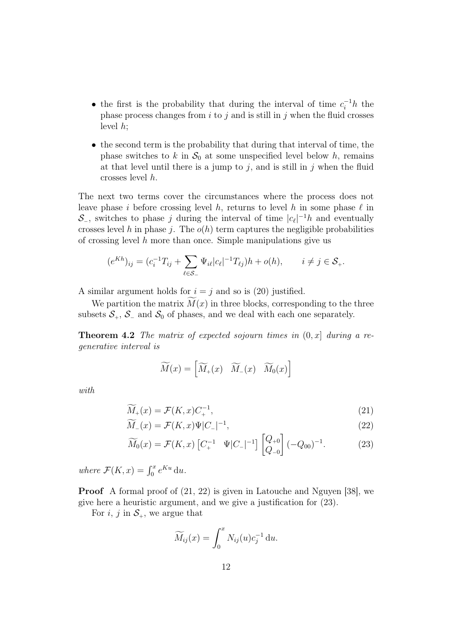- the first is the probability that during the interval of time  $c_i^{-1}h$  the phase process changes from  $i$  to  $j$  and is still in  $j$  when the fluid crosses level  $h$ ;
- the second term is the probability that during that interval of time, the phase switches to k in  $S_0$  at some unspecified level below h, remains at that level until there is a jump to  $j$ , and is still in  $j$  when the fluid crosses level h.

The next two terms cover the circumstances where the process does not leave phase i before crossing level h, returns to level h in some phase  $\ell$  in  $\mathcal{S}_-$ , switches to phase j during the interval of time  $|c_\ell|^{-1}h$  and eventually crosses level h in phase j. The  $o(h)$  term captures the negligible probabilities of crossing level  $h$  more than once. Simple manipulations give us

$$
(e^{Kh})_{ij} = (c_i^{-1}T_{ij} + \sum_{\ell \in S_-} \Psi_{i\ell} |c_{\ell}|^{-1} T_{\ell j})h + o(h), \qquad i \neq j \in S_+.
$$

A similar argument holds for  $i = j$  and so is (20) justified.

We partition the matrix  $M(x)$  in three blocks, corresponding to the three subsets  $S_+$ ,  $S_-$  and  $S_0$  of phases, and we deal with each one separately.

**Theorem 4.2** The matrix of expected sojourn times in  $(0, x]$  during a regenerative interval is

$$
\widetilde{M}(x) = \begin{bmatrix} \widetilde{M}_+(x) & \widetilde{M}_-(x) & \widetilde{M}_0(x) \end{bmatrix}
$$

with

$$
\widetilde{M}_+(x) = \mathcal{F}(K,x)C_+^{-1},\tag{21}
$$

$$
\widetilde{M}_-(x) = \mathcal{F}(K,x)\Psi|C_-|^{-1},\tag{22}
$$

$$
\widetilde{M}_0(x) = \mathcal{F}(K, x) \begin{bmatrix} C_+^{-1} & \Psi | C_- |^{-1} \end{bmatrix} \begin{bmatrix} Q_{+0} \\ Q_{-0} \end{bmatrix} (-Q_{00})^{-1}.
$$
 (23)

where  $\mathcal{F}(K, x) = \int_0^x e^{Ku} du$ .

Proof A formal proof of (21, 22) is given in Latouche and Nguyen [38], we give here a heuristic argument, and we give a justification for (23).

For i, j in  $S_+$ , we argue that

$$
\widetilde{M}_{ij}(x) = \int_0^x N_{ij}(u)c_j^{-1} \, \mathrm{d}u.
$$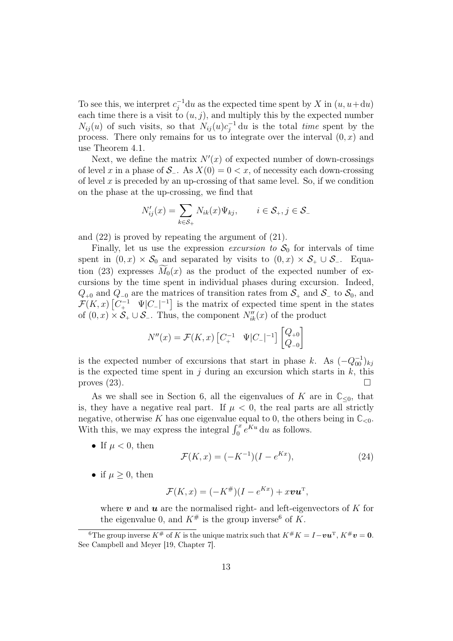To see this, we interpret  $c_j^{-1}$ du as the expected time spent by X in  $(u, u+du)$ each time there is a visit to  $(u, j)$ , and multiply this by the expected number  $N_{ij}(u)$  of such visits, so that  $N_{ij}(u)c_j^{-1} du$  is the total time spent by the process. There only remains for us to integrate over the interval  $(0, x)$  and use Theorem 4.1.

Next, we define the matrix  $N'(x)$  of expected number of down-crossings of level x in a phase of  $S_$ . As  $X(0) = 0 < x$ , of necessity each down-crossing of level x is preceded by an up-crossing of that same level. So, if we condition on the phase at the up-crossing, we find that

$$
N'_{ij}(x) = \sum_{k \in \mathcal{S}_+} N_{ik}(x) \Psi_{kj}, \qquad i \in \mathcal{S}_+, j \in \mathcal{S}_-
$$

and (22) is proved by repeating the argument of (21).

Finally, let us use the expression excursion to  $S_0$  for intervals of time spent in  $(0, x) \times S_0$  and separated by visits to  $(0, x) \times S_+ \cup S_-$ . Equation (23) expresses  $M_0(x)$  as the product of the expected number of excursions by the time spent in individual phases during excursion. Indeed,  $Q_{+0}$  and  $Q_{-0}$  are the matrices of transition rates from  $S_+$  and  $S_-\text{}$  to  $S_0$ , and  $\mathcal{F}(K,x)$   $\left[C_{+}^{-1} \quad \Psi|C_{-}\right]^{-1}$  is the matrix of expected time spent in the states of  $(0, x) \times S_+ \cup S_-$ . Thus, the component  $N''_{ik}(x)$  of the product

$$
N''(x) = \mathcal{F}(K, x) \begin{bmatrix} C_+^{-1} & \Psi | C_- |^{-1} \end{bmatrix} \begin{bmatrix} Q_{+0} \\ Q_{-0} \end{bmatrix}
$$

is the expected number of excursions that start in phase k. As  $(-Q_{00}^{-1})_{kj}$ is the expected time spent in j during an excursion which starts in  $k$ , this proves (23).

As we shall see in Section 6, all the eigenvalues of K are in  $\mathbb{C}_{\leq 0}$ , that is, they have a negative real part. If  $\mu < 0$ , the real parts are all strictly negative, otherwise K has one eigenvalue equal to 0, the others being in  $\mathbb{C}_{<0}$ . With this, we may express the integral  $\int_0^x e^{Ku} du$  as follows.

• If  $\mu < 0$ , then

$$
\mathcal{F}(K, x) = (-K^{-1})(I - e^{Kx}), \tag{24}
$$

• if  $\mu \geq 0$ , then

$$
\mathcal{F}(K,x) = (-K^{\#})(I - e^{Kx}) + x\mathbf{v}\mathbf{u}^{\mathrm{T}},
$$

where  $\boldsymbol{v}$  and  $\boldsymbol{u}$  are the normalised right- and left-eigenvectors of K for the eigenvalue 0, and  $K^{\#}$  is the group inverse<sup>6</sup> of K.

<sup>&</sup>lt;sup>6</sup>The group inverse  $K^{\#}$  of K is the unique matrix such that  $K^{\#}K = I - \boldsymbol{v}\boldsymbol{u}^{\mathrm{T}}$ ,  $K^{\#}\boldsymbol{v} = 0$ . See Campbell and Meyer [19, Chapter 7].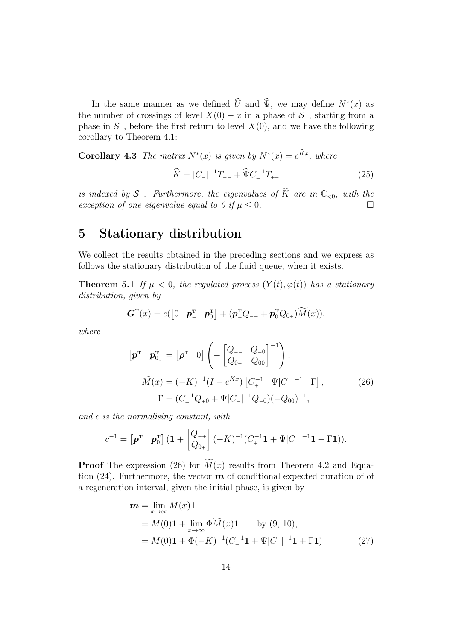In the same manner as we defined  $\hat{U}$  and  $\Psi$ , we may define  $N^*(x)$  as the number of crossings of level  $X(0) - x$  in a phase of  $S_$ , starting from a phase in  $S_$ , before the first return to level  $X(0)$ , and we have the following corollary to Theorem 4.1:

**Corollary 4.3** The matrix  $N^*(x)$  is given by  $N^*(x) = e^{Kx}$ , where

$$
\widehat{K} = |C_-|^{-1}T_{--} + \widehat{\Psi} C_+^{-1}T_{+-} \tag{25}
$$

is indexed by S<sub>−</sub>. Furthermore, the eigenvalues of  $\widehat{K}$  are in  $\mathbb{C}_{<0}$ , with the exception of one eigenvalue equal to 0 if  $\mu$  < 0. exception of one eigenvalue equal to 0 if  $\mu < 0$ .

# 5 Stationary distribution

We collect the results obtained in the preceding sections and we express as follows the stationary distribution of the fluid queue, when it exists.

**Theorem 5.1** If  $\mu < 0$ , the regulated process  $(Y(t), \varphi(t))$  has a stationary distribution, given by

$$
\boldsymbol{G}^{\mathrm{T}}(x) = c([0 \quad \boldsymbol{p}_{-}^{\mathrm{T}} \quad \boldsymbol{p}_{0}^{\mathrm{T}}] + (\boldsymbol{p}_{-}^{\mathrm{T}}Q_{-+} + \boldsymbol{p}_{0}^{\mathrm{T}}Q_{0+})\widetilde{M}(x)),
$$

where

$$
\begin{aligned}\n\left[\mathbf{p}_{-}^{\mathrm{T}} \ \mathbf{p}_{0}^{\mathrm{T}}\right] &= \left[\mathbf{\rho}^{\mathrm{T}} \ 0\right] \left(-\begin{bmatrix} Q_{--} & Q_{-0} \\ Q_{0-} & Q_{00} \end{bmatrix}^{-1}\right), \\
\widetilde{M}(x) &= (-K)^{-1} (I - e^{Kx}) \left[C_{+}^{-1} \ \Psi | C_{-} |^{-1} \ \Gamma\right], \\
\Gamma &= (C_{+}^{-1} Q_{+0} + \Psi | C_{-} |^{-1} Q_{-0}) (-Q_{00})^{-1},\n\end{aligned} \tag{26}
$$

and c is the normalising constant, with

$$
c^{-1} = \begin{bmatrix} \boldsymbol{p}_-^{\mathrm{T}} & \boldsymbol{p}_0^{\mathrm{T}} \end{bmatrix} (\mathbf{1} + \begin{bmatrix} Q_{-+} \\ Q_{0+} \end{bmatrix} (-K)^{-1} (C_+^{-1} \mathbf{1} + \Psi |C_-|^{-1} \mathbf{1} + \Gamma \mathbf{1})).
$$

**Proof** The expression (26) for  $\widetilde{M}(x)$  results from Theorem 4.2 and Equation (24). Furthermore, the vector  $\boldsymbol{m}$  of conditional expected duration of of a regeneration interval, given the initial phase, is given by

$$
\mathbf{m} = \lim_{x \to \infty} M(x) \mathbf{1}
$$
  
=  $M(0) \mathbf{1} + \lim_{x \to \infty} \Phi \widetilde{M}(x) \mathbf{1}$  by (9, 10),  
=  $M(0) \mathbf{1} + \Phi(-K)^{-1} (C_+^{-1} \mathbf{1} + \Psi |C_-|^{-1} \mathbf{1} + \Gamma \mathbf{1})$  (27)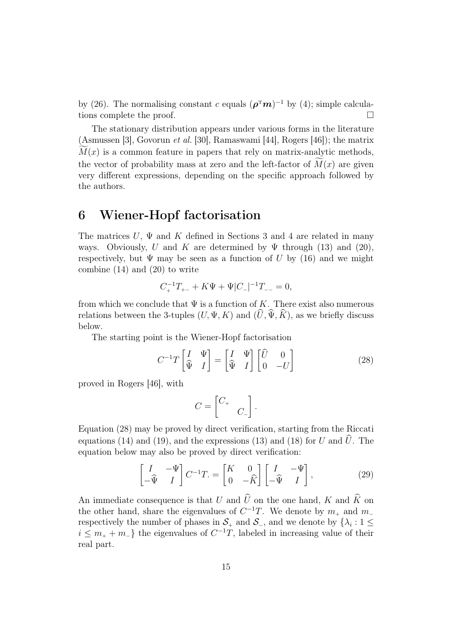by (26). The normalising constant c equals  $(\rho^T m)^{-1}$  by (4); simple calculations complete the proof.

The stationary distribution appears under various forms in the literature (Asmussen [3], Govorun et al. [30], Ramaswami [44], Rogers [46]); the matrix  $M(x)$  is a common feature in papers that rely on matrix-analytic methods, the vector of probability mass at zero and the left-factor of  $M(x)$  are given very different expressions, depending on the specific approach followed by the authors.

# 6 Wiener-Hopf factorisation

The matrices U,  $\Psi$  and K defined in Sections 3 and 4 are related in many ways. Obviously, U and K are determined by  $\Psi$  through (13) and (20), respectively, but  $\Psi$  may be seen as a function of U by (16) and we might combine (14) and (20) to write

$$
C_{+}^{-1}T_{+-} + K\Psi + \Psi|C_{-}|^{-1}T_{--} = 0,
$$

from which we conclude that  $\Psi$  is a function of K. There exist also numerous relations between the 3-tuples  $(U, \Psi, K)$  and  $(\hat{U}, \hat{\Psi}, \hat{K})$ , as we briefly discuss below.

The starting point is the Wiener-Hopf factorisation

$$
C^{-1}T\begin{bmatrix} I & \Psi \\ \widehat{\Psi} & I \end{bmatrix} = \begin{bmatrix} I & \Psi \\ \widehat{\Psi} & I \end{bmatrix} \begin{bmatrix} \widehat{U} & 0 \\ 0 & -U \end{bmatrix}
$$
 (28)

proved in Rogers [46], with

$$
C = \begin{bmatrix} C_+ & & \\ & C_- \end{bmatrix}.
$$

Equation (28) may be proved by direct verification, starting from the Riccati equations (14) and (19), and the expressions (13) and (18) for U and  $\hat{U}$ . The equation below may also be proved by direct verification:

$$
\begin{bmatrix} I & -\Psi \\ -\widehat{\Psi} & I \end{bmatrix} C^{-1} T = \begin{bmatrix} K & 0 \\ 0 & -\widehat{K} \end{bmatrix} \begin{bmatrix} I & -\Psi \\ -\widehat{\Psi} & I \end{bmatrix},
$$
(29)

An immediate consequence is that U and  $\widehat{U}$  on the one hand, K and  $\widehat{K}$  on the other hand, share the eigenvalues of  $C^{-1}T$ . We denote by  $m_+$  and  $m_$ respectively the number of phases in  $S_+$  and  $S_-$ , and we denote by  $\{\lambda_i: 1 \leq$  $i \leq m_{+} + m_{-}$ } the eigenvalues of  $C^{-1}T$ , labeled in increasing value of their real part.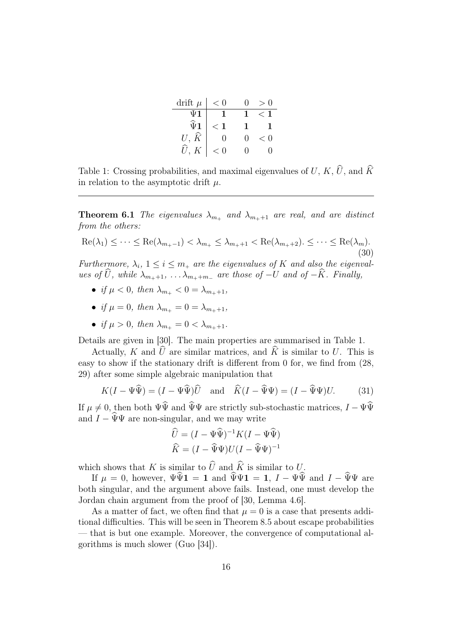| drift $\mu$                          | $\lt$ |                   | $\scriptstyle\diagup$<br>-0 |
|--------------------------------------|-------|-------------------|-----------------------------|
| $\Psi$ 1                             |       |                   | ╱                           |
| $\widehat{\Psi}$ <sup>1</sup>        | ✓     | ı                 | $\mathbf{1}$                |
|                                      | 0     |                   | < 0                         |
| $U,\,\widehat{K}\,\,\widehat{U},\,K$ | < 0   | $\mathbf{\Omega}$ | $\left( \right)$            |

Table 1: Crossing probabilities, and maximal eigenvalues of  $U,$   $K, \widehat{U}$ , and  $\widehat{K}$ in relation to the asymptotic drift  $\mu$ .

**Theorem 6.1** The eigenvalues  $\lambda_{m_+}$  and  $\lambda_{m_++1}$  are real, and are distinct from the others:

$$
\operatorname{Re}(\lambda_1) \leq \cdots \leq \operatorname{Re}(\lambda_{m_+-1}) < \lambda_{m_+} \leq \lambda_{m_++1} < \operatorname{Re}(\lambda_{m_++2}) \leq \cdots \leq \operatorname{Re}(\lambda_m). \tag{30}
$$

Furthermore,  $\lambda_i$ ,  $1 \leq i \leq m_+$  are the eigenvalues of K and also the eigenvalues of  $\widehat{U}$ , while  $\lambda_{m_{+}+1}, \ldots, \lambda_{m_{+}+m_{-}}$  are those of  $-U$  and of  $-\widehat{K}$ . Finally,

- if  $\mu < 0$ , then  $\lambda_{m+} < 0 = \lambda_{m+1}$ ,
- if  $\mu = 0$ , then  $\lambda_{m+} = 0 = \lambda_{m+1}$ ,
- if  $\mu > 0$ , then  $\lambda_{m+1} = 0 < \lambda_{m+1}$ .

Details are given in [30]. The main properties are summarised in Table 1.

Actually, K and  $\hat{U}$  are similar matrices, and  $\hat{K}$  is similar to U. This is easy to show if the stationary drift is different from 0 for, we find from (28, 29) after some simple algebraic manipulation that

$$
K(I - \Psi \widehat{\Psi}) = (I - \Psi \widehat{\Psi})\widehat{U} \text{ and } \widehat{K}(I - \widehat{\Psi}\Psi) = (I - \widehat{\Psi}\Psi)U. \quad (31)
$$

If  $\mu \neq 0$ , then both  $\Psi \hat{\Psi}$  and  $\hat{\Psi} \Psi$  are strictly sub-stochastic matrices,  $I - \Psi \hat{\Psi}$ and  $I - \widehat{\Psi}\Psi$  are non-singular, and we may write

$$
\widehat{U} = (I - \Psi \widehat{\Psi})^{-1} K (I - \Psi \widehat{\Psi})
$$

$$
\widehat{K} = (I - \widehat{\Psi} \Psi) U (I - \widehat{\Psi} \Psi)^{-1}
$$

which shows that  $K$  is similar to  $\widehat{U}$  and  $\widehat{K}$  is similar to U.

If  $\mu = 0$ , however,  $\Psi \hat{\Psi} \mathbf{1} = \mathbf{1}$  and  $\Psi \Psi \mathbf{1} = \mathbf{1}$ ,  $I - \Psi \hat{\Psi}$  and  $I - \hat{\Psi} \Psi$  are both singular, and the argument above fails. Instead, one must develop the Jordan chain argument from the proof of [30, Lemma 4.6].

As a matter of fact, we often find that  $\mu = 0$  is a case that presents additional difficulties. This will be seen in Theorem 8.5 about escape probabilities — that is but one example. Moreover, the convergence of computational algorithms is much slower (Guo [34]).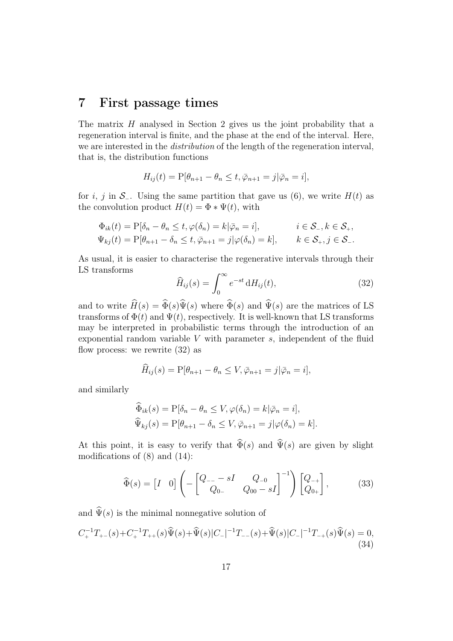## 7 First passage times

The matrix  $H$  analysed in Section 2 gives us the joint probability that a regeneration interval is finite, and the phase at the end of the interval. Here, we are interested in the distribution of the length of the regeneration interval, that is, the distribution functions

$$
H_{ij}(t) = P[\theta_{n+1} - \theta_n \le t, \overline{\varphi}_{n+1} = j | \overline{\varphi}_n = i],
$$

for i, j in  $S_$ . Using the same partition that gave us (6), we write  $H(t)$  as the convolution product  $H(t) = \Phi * \Psi(t)$ , with

$$
\Phi_{ik}(t) = P[\delta_n - \theta_n \le t, \varphi(\delta_n) = k | \bar{\varphi}_n = i], \qquad i \in \mathcal{S}_-, k \in \mathcal{S}_+,
$$
  

$$
\Psi_{kj}(t) = P[\theta_{n+1} - \delta_n \le t, \bar{\varphi}_{n+1} = j | \varphi(\delta_n) = k], \qquad k \in \mathcal{S}_+, j \in \mathcal{S}_-.
$$

As usual, it is easier to characterise the regenerative intervals through their LS transforms

$$
\widehat{H}_{ij}(s) = \int_0^\infty e^{-st} \, \mathrm{d}H_{ij}(t),\tag{32}
$$

and to write  $\widehat{H}(s) = \widehat{\Phi}(s)\widehat{\Psi}(s)$  where  $\widehat{\Phi}(s)$  and  $\widehat{\Psi}(s)$  are the matrices of LS transforms of  $\Phi(t)$  and  $\Psi(t)$ , respectively. It is well-known that LS transforms may be interpreted in probabilistic terms through the introduction of an exponential random variable  $V$  with parameter  $s$ , independent of the fluid flow process: we rewrite (32) as

$$
\widehat{H}_{ij}(s) = P[\theta_{n+1} - \theta_n \le V, \overline{\varphi}_{n+1} = j | \overline{\varphi}_n = i],
$$

and similarly

$$
\Phi_{ik}(s) = P[\delta_n - \theta_n \le V, \varphi(\delta_n) = k | \bar{\varphi}_n = i],
$$
  

$$
\widehat{\Psi}_{kj}(s) = P[\theta_{n+1} - \delta_n \le V, \bar{\varphi}_{n+1} = j | \varphi(\delta_n) = k].
$$

At this point, it is easy to verify that  $\widehat{\Phi}(s)$  and  $\widehat{\Psi}(s)$  are given by slight modifications of (8) and (14):

$$
\widehat{\Phi}(s) = \begin{bmatrix} I & 0 \end{bmatrix} \left( - \begin{bmatrix} Q_{--} - sI & Q_{-0} \\ Q_{0-} & Q_{00} - sI \end{bmatrix}^{-1} \right) \begin{bmatrix} Q_{-+} \\ Q_{0+} \end{bmatrix},
$$
(33)

and  $\widehat{\Psi}(s)$  is the minimal nonnegative solution of

$$
C_{+}^{-1}T_{+-}(s) + C_{+}^{-1}T_{++}(s)\widehat{\Psi}(s) + \widehat{\Psi}(s)|C_{-}|^{-1}T_{--}(s) + \widehat{\Psi}(s)|C_{-}|^{-1}T_{-+}(s)\widehat{\Psi}(s) = 0,
$$
\n(34)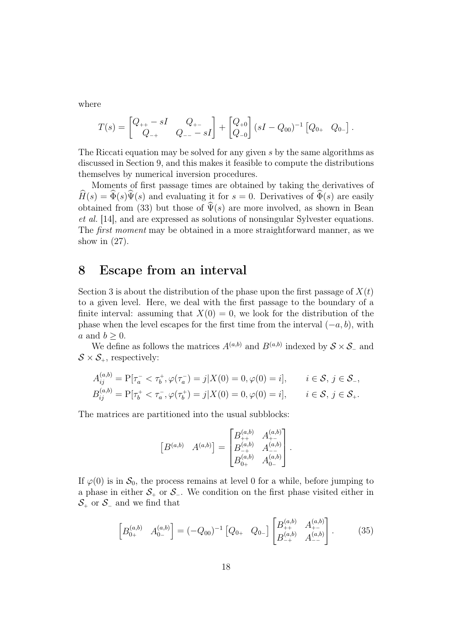where

$$
T(s) = \begin{bmatrix} Q_{++} - sI & Q_{+-} \\ Q_{-+} & Q_{--} - sI \end{bmatrix} + \begin{bmatrix} Q_{+0} \\ Q_{-0} \end{bmatrix} (sI - Q_{00})^{-1} \begin{bmatrix} Q_{0+} & Q_{0-} \end{bmatrix}.
$$

The Riccati equation may be solved for any given s by the same algorithms as discussed in Section 9, and this makes it feasible to compute the distributions themselves by numerical inversion procedures.

Moments of first passage times are obtained by taking the derivatives of  $\widehat{H}(s) = \widehat{\Phi}(s)\widehat{\Psi}(s)$  and evaluating it for  $s = 0$ . Derivatives of  $\widehat{\Phi}(s)$  are easily obtained from (33) but those of  $\widehat{\Psi}(s)$  are more involved, as shown in Bean et al. [14], and are expressed as solutions of nonsingular Sylvester equations. The first moment may be obtained in a more straightforward manner, as we show in  $(27)$ .

#### 8 Escape from an interval

Section 3 is about the distribution of the phase upon the first passage of  $X(t)$ to a given level. Here, we deal with the first passage to the boundary of a finite interval: assuming that  $X(0) = 0$ , we look for the distribution of the phase when the level escapes for the first time from the interval  $(-a, b)$ , with a and  $b \geq 0$ .

We define as follows the matrices  $A^{(a,b)}$  and  $B^{(a,b)}$  indexed by  $S \times S_-\$  and  $S \times S_{+}$ , respectively:

$$
A_{ij}^{(a,b)} = P[\tau_a^- < \tau_b^+, \varphi(\tau_a^-) = j | X(0) = 0, \varphi(0) = i], \quad i \in \mathcal{S}, j \in \mathcal{S}_-,
$$
  
\n
$$
B_{ij}^{(a,b)} = P[\tau_b^+ < \tau_a^-, \varphi(\tau_b^+) = j | X(0) = 0, \varphi(0) = i], \quad i \in \mathcal{S}, j \in \mathcal{S}_+.
$$

The matrices are partitioned into the usual subblocks:

$$
\begin{bmatrix} B^{(a,b)} & A^{(a,b)} \end{bmatrix} = \begin{bmatrix} B_{++}^{(a,b)} & A_{+-}^{(a,b)} \\ B_{-+}^{(a,b)} & A_{--}^{(a,b)} \\ B_{0+}^{(a,b)} & A_{0--}^{(a,b)} \end{bmatrix}.
$$

If  $\varphi(0)$  is in  $\mathcal{S}_0$ , the process remains at level 0 for a while, before jumping to a phase in either  $S_+$  or  $S_-$ . We condition on the first phase visited either in  $S_+$  or  $S_-$  and we find that

$$
\begin{bmatrix} B_{0+}^{(a,b)} & A_{0-}^{(a,b)} \end{bmatrix} = (-Q_{00})^{-1} \begin{bmatrix} Q_{0+} & Q_{0-} \end{bmatrix} \begin{bmatrix} B_{++}^{(a,b)} & A_{+-}^{(a,b)} \\ B_{-+}^{(a,b)} & A_{--}^{(a,b)} \end{bmatrix} . \tag{35}
$$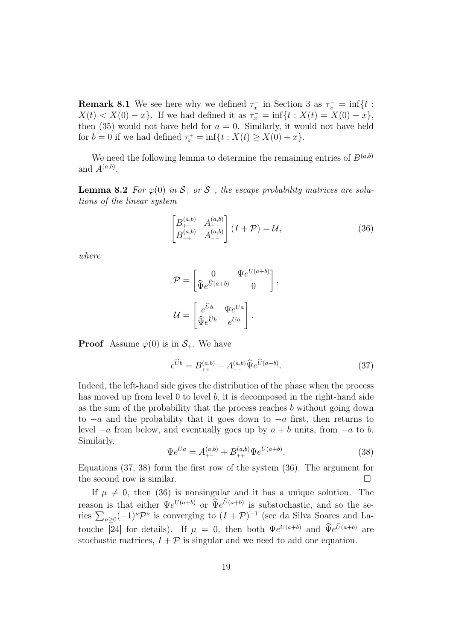**Remark 8.1** We see here why we defined  $\tau_x^-$  in Section 3 as  $\tau_x^- = \inf\{t :$  $X(t) < X(0) - x$ . If we had defined it as  $\tau_x^- = \inf\{t : X(t) = X(0) - x\}$ , then (35) would not have held for  $a = 0$ . Similarly, it would not have held for  $b = 0$  if we had defined  $\tau_x^+ = \inf\{t : X(t) \ge X(0) + x\}.$ 

We need the following lemma to determine the remaining entries of  $B^{(a,b)}$ and  $A^{(a,b)}$ .

**Lemma 8.2** For  $\varphi(0)$  in  $S_+$  or  $S_-$ , the escape probability matrices are solutions of the linear system

$$
\begin{bmatrix} B_{++}^{(a,b)} & A_{+-}^{(a,b)} \\ B_{-+}^{(a,b)} & A_{--}^{(a,b)} \end{bmatrix} (I + \mathcal{P}) = \mathcal{U},
$$
\n(36)

,

where

$$
\mathcal{P} = \begin{bmatrix} 0 & \Psi e^{U(a+b)} \\ \widehat{\Psi} e^{\widehat{U}(a+b)} & 0 \end{bmatrix}
$$

$$
\mathcal{U} = \begin{bmatrix} e^{\widehat{U}b} & \Psi e^{Ua} \\ \widehat{\Psi} e^{\widehat{U}b} & e^{Ua} \end{bmatrix}.
$$

**Proof** Assume  $\varphi(0)$  is in  $\mathcal{S}_+$ . We have

$$
e^{\hat{U}b} = B_{++}^{(a,b)} + A_{+-}^{(a,b)} \hat{\Psi} e^{\hat{U}(a+b)}.
$$
 (37)

Indeed, the left-hand side gives the distribution of the phase when the process has moved up from level 0 to level b, it is decomposed in the right-hand side as the sum of the probability that the process reaches b without going down to  $-a$  and the probability that it goes down to  $-a$  first, then returns to level  $-a$  from below, and eventually goes up by  $a + b$  units, from  $-a$  to b. Similarly,

$$
\Psi e^{Ua} = A_{+-}^{(a,b)} + B_{++}^{(a,b)} \Psi e^{U(a+b)}.
$$
\n(38)

Equations (37, 38) form the first row of the system (36). The argument for the second row is similar.

If  $\mu \neq 0$ , then (36) is nonsingular and it has a unique solution. The reason is that either  $\Psi e^{U(a+b)}$  or  $\widetilde{\Psi}e^{U(a+b)}$  is substochastic, and so the series  $\sum_{\nu \geq 0} (-1)^{\nu} \mathcal{P}^{\nu}$  is converging to  $(I + \mathcal{P})^{-1}$  (see da Silva Soares and Latouche [24] for details). If  $\mu = 0$ , then both  $\Psi e^{U(a+b)}$  and  $\Psi e^{U(a+b)}$  are stochastic matrices,  $I + P$  is singular and we need to add one equation.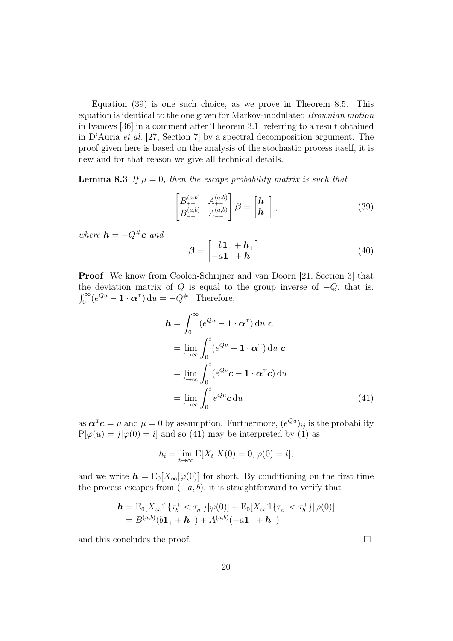Equation (39) is one such choice, as we prove in Theorem 8.5. This equation is identical to the one given for Markov-modulated Brownian motion in Ivanovs [36] in a comment after Theorem 3.1, referring to a result obtained in D'Auria et al. [27, Section 7] by a spectral decomposition argument. The proof given here is based on the analysis of the stochastic process itself, it is new and for that reason we give all technical details.

**Lemma 8.3** If  $\mu = 0$ , then the escape probability matrix is such that

$$
\begin{bmatrix} B_{++}^{(a,b)} & A_{+-}^{(a,b)} \\ B_{-+}^{(a,b)} & A_{--}^{(a,b)} \end{bmatrix} \boldsymbol{\beta} = \begin{bmatrix} \boldsymbol{h}_+ \\ \boldsymbol{h}_- \end{bmatrix},
$$
\n(39)

where  $\mathbf{h} = -Q^{\#}\mathbf{c}$  and

$$
\boldsymbol{\beta} = \begin{bmatrix} b\mathbf{1}_+ + \boldsymbol{h}_+ \\ -a\mathbf{1}_- + \boldsymbol{h}_- \end{bmatrix} . \tag{40}
$$

Proof We know from Coolen-Schrijner and van Doorn [21, Section 3] that the deviation matrix of Q is equal to the group inverse of  $-Q$ , that is,  $\int_0^\infty (e^{Qu} - \mathbf{1} \cdot \boldsymbol{\alpha}^{\mathrm{T}}) \, \mathrm{d}u = -Q^{\#}$ . Therefore,

$$
\mathbf{h} = \int_0^\infty (e^{Qu} - \mathbf{1} \cdot \mathbf{\alpha}^{\mathrm{T}}) \, \mathrm{d}u \, \mathbf{c}
$$
\n
$$
= \lim_{t \to \infty} \int_0^t (e^{Qu} - \mathbf{1} \cdot \mathbf{\alpha}^{\mathrm{T}}) \, \mathrm{d}u \, \mathbf{c}
$$
\n
$$
= \lim_{t \to \infty} \int_0^t (e^{Qu} \mathbf{c} - \mathbf{1} \cdot \mathbf{\alpha}^{\mathrm{T}} \mathbf{c}) \, \mathrm{d}u
$$
\n
$$
= \lim_{t \to \infty} \int_0^t e^{Qu} \mathbf{c} \, \mathrm{d}u \tag{41}
$$

as  $\boldsymbol{\alpha}^{\mathrm{T}}\boldsymbol{c} = \mu$  and  $\mu = 0$  by assumption. Furthermore,  $(e^{Qu})_{ij}$  is the probability  $P[\varphi(u) = j | \varphi(0) = i]$  and so (41) may be interpreted by (1) as

$$
h_i = \lim_{t \to \infty} E[X_t | X(0) = 0, \varphi(0) = i],
$$

and we write  $h = E_0[X_\infty] \varphi(0)$  for short. By conditioning on the first time the process escapes from  $(-a, b)$ , it is straightforward to verify that

$$
\mathbf{h} = \mathrm{E}_0[X_{\infty}1\{\tau_b^+ < \tau_a^-\}|\varphi(0)] + \mathrm{E}_0[X_{\infty}1\{\tau_a^- < \tau_b^+\}|\varphi(0)]
$$
\n
$$
= B^{(a,b)}(b\mathbf{1}_+ + \mathbf{h}_+) + A^{(a,b)}(-a\mathbf{1}_- + \mathbf{h}_-)
$$

and this concludes the proof.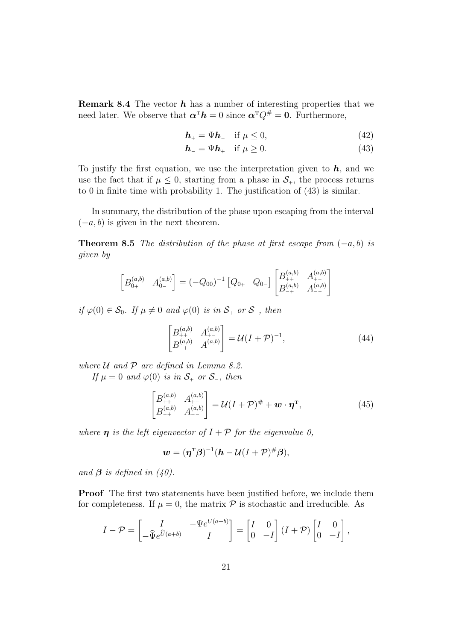**Remark 8.4** The vector  $h$  has a number of interesting properties that we need later. We observe that  $\boldsymbol{\alpha}^{\mathrm{T}} \boldsymbol{h} = 0$  since  $\boldsymbol{\alpha}^{\mathrm{T}} Q^{\#} = 0$ . Furthermore,

$$
\boldsymbol{h}_{+} = \Psi \boldsymbol{h}_{-} \quad \text{if } \mu \leq 0,\tag{42}
$$

$$
\boldsymbol{h}_{-} = \Psi \boldsymbol{h}_{+} \quad \text{if } \mu \ge 0. \tag{43}
$$

To justify the first equation, we use the interpretation given to  $h$ , and we use the fact that if  $\mu \leq 0$ , starting from a phase in  $\mathcal{S}_{+}$ , the process returns to 0 in finite time with probability 1. The justification of (43) is similar.

In summary, the distribution of the phase upon escaping from the interval  $(-a, b)$  is given in the next theorem.

**Theorem 8.5** The distribution of the phase at first escape from  $(-a, b)$  is given by

$$
\begin{bmatrix} B_{0+}^{(a,b)} & A_{0-}^{(a,b)} \end{bmatrix} = (-Q_{00})^{-1} \begin{bmatrix} Q_{0+} & Q_{0-} \end{bmatrix} \begin{bmatrix} B_{++}^{(a,b)} & A_{+-}^{(a,b)} \\ B_{-+}^{(a,b)} & A_{--}^{(a,b)} \end{bmatrix}
$$

if  $\varphi(0) \in \mathcal{S}_0$ . If  $\mu \neq 0$  and  $\varphi(0)$  is in  $\mathcal{S}_+$  or  $\mathcal{S}_-$ , then

$$
\begin{bmatrix} B_{++}^{(a,b)} & A_{+-}^{(a,b)} \\ B_{-+}^{(a,b)} & A_{--}^{(a,b)} \end{bmatrix} = \mathcal{U}(I+\mathcal{P})^{-1},\tag{44}
$$

where  $U$  and  $P$  are defined in Lemma 8.2.

If  $\mu = 0$  and  $\varphi(0)$  is in  $S_+$  or  $S_-$ , then

$$
\begin{bmatrix} B_{++}^{(a,b)} & A_{+-}^{(a,b)} \\ B_{-+}^{(a,b)} & A_{--}^{(a,b)} \end{bmatrix} = \mathcal{U}(I+\mathcal{P})^{\#} + \mathbf{w} \cdot \mathbf{\eta}^{\mathrm{T}}, \tag{45}
$$

where  $\eta$  is the left eigenvector of  $I + P$  for the eigenvalue 0,

$$
\mathbf{w} = (\boldsymbol{\eta}^{\mathrm{T}}\boldsymbol{\beta})^{-1}(\mathbf{h} - \mathcal{U}(I + \mathcal{P})^{\#}\boldsymbol{\beta}),
$$

and  $\beta$  is defined in (40).

Proof The first two statements have been justified before, we include them for completeness. If  $\mu = 0$ , the matrix  $\mathcal P$  is stochastic and irreducible. As

$$
I - \mathcal{P} = \begin{bmatrix} I & -\Psi e^{U(a+b)} \\ -\widehat{\Psi} e^{\widehat{U}(a+b)} & I \end{bmatrix} = \begin{bmatrix} I & 0 \\ 0 & -I \end{bmatrix} (I + \mathcal{P}) \begin{bmatrix} I & 0 \\ 0 & -I \end{bmatrix},
$$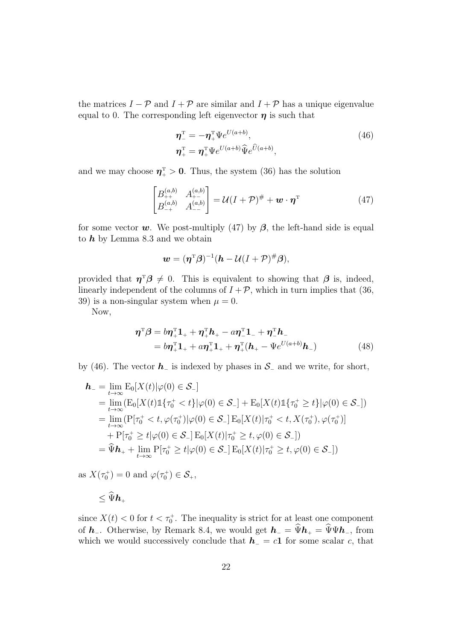the matrices  $I - P$  and  $I + P$  are similar and  $I + P$  has a unique eigenvalue equal to 0. The corresponding left eigenvector  $\eta$  is such that

$$
\eta_{-}^{\mathrm{T}} = -\eta_{+}^{\mathrm{T}} \Psi e^{U(a+b)}, \eta_{+}^{\mathrm{T}} = \eta_{+}^{\mathrm{T}} \Psi e^{U(a+b)} \widehat{\Psi} e^{\widehat{U}(a+b)},
$$
\n(46)

and we may choose  $\eta_+^{\rm T} > 0$ . Thus, the system (36) has the solution

$$
\begin{bmatrix} B_{++}^{(a,b)} & A_{+-}^{(a,b)} \\ B_{-+}^{(a,b)} & A_{--}^{(a,b)} \end{bmatrix} = \mathcal{U}(I+\mathcal{P})^{\#} + \mathbf{w} \cdot \boldsymbol{\eta}^{\mathrm{T}}
$$
(47)

for some vector w. We post-multiply (47) by  $\beta$ , the left-hand side is equal to  $h$  by Lemma 8.3 and we obtain

$$
\mathbf{w} = (\boldsymbol{\eta}^{\mathrm{T}}\boldsymbol{\beta})^{-1}(\mathbf{h} - \mathcal{U}(I + \mathcal{P})^{\#}\boldsymbol{\beta}),
$$

provided that  $\eta^T \beta \neq 0$ . This is equivalent to showing that  $\beta$  is, indeed, linearly independent of the columns of  $I + P$ , which in turn implies that (36, 39) is a non-singular system when  $\mu = 0$ .

Now,

$$
\boldsymbol{\eta}^{\mathrm{T}}\boldsymbol{\beta} = b\boldsymbol{\eta}_{+}^{\mathrm{T}}\mathbf{1}_{+} + \boldsymbol{\eta}_{+}^{\mathrm{T}}\boldsymbol{h}_{+} - a\boldsymbol{\eta}_{-}^{\mathrm{T}}\mathbf{1}_{-} + \boldsymbol{\eta}_{-}^{\mathrm{T}}\boldsymbol{h}_{-} \n= b\boldsymbol{\eta}_{+}^{\mathrm{T}}\mathbf{1}_{+} + a\boldsymbol{\eta}_{+}^{\mathrm{T}}\mathbf{1}_{+} + \boldsymbol{\eta}_{+}^{\mathrm{T}}(\boldsymbol{h}_{+} - \boldsymbol{\Psi}e^{U(a+b)}\boldsymbol{h}_{-})
$$
\n(48)

by (46). The vector  $h_-\$  is indexed by phases in  $\mathcal{S}_-\$  and we write, for short,

$$
\begin{split} \mathbf{h}_{-} &= \lim_{t \to \infty} \mathrm{E}_{0}[X(t)|\varphi(0) \in \mathcal{S}_{-}] \\ &= \lim_{t \to \infty} (\mathrm{E}_{0}[X(t)\mathbb{1}\{\tau_{0}^{+} < t\}|\varphi(0) \in \mathcal{S}_{-}] + \mathrm{E}_{0}[X(t)\mathbb{1}\{\tau_{0}^{+} \geq t\}|\varphi(0) \in \mathcal{S}_{-}]) \\ &= \lim_{t \to \infty} (\mathrm{P}[\tau_{0}^{+} < t, \varphi(\tau_{0}^{+})|\varphi(0) \in \mathcal{S}_{-}] \mathrm{E}_{0}[X(t)|\tau_{0}^{+} < t, X(\tau_{0}^{+}), \varphi(\tau_{0}^{+})] \\ &+ \mathrm{P}[\tau_{0}^{+} \geq t|\varphi(0) \in \mathcal{S}_{-}] \mathrm{E}_{0}[X(t)|\tau_{0}^{+} \geq t, \varphi(0) \in \mathcal{S}_{-}]) \\ &= \widehat{\Psi}\mathbf{h}_{+} + \lim_{t \to \infty} \mathrm{P}[\tau_{0}^{+} \geq t|\varphi(0) \in \mathcal{S}_{-}] \mathrm{E}_{0}[X(t)|\tau_{0}^{+} \geq t, \varphi(0) \in \mathcal{S}_{-}]) \end{split}
$$

as  $X(\tau_0^+) = 0$  and  $\varphi(\tau_0^+) \in \mathcal{S}_+,$ 

$$
\leq \widehat{\Psi} \bm{h}_+
$$

since  $X(t) < 0$  for  $t < \tau_0^+$ . The inequality is strict for at least one component of  $h_$ . Otherwise, by Remark 8.4, we would get  $h_$  =  $\widehat{\Psi}h_+ = \widehat{\Psi}\Psi h_-,$  from which we would successively conclude that  $h_0 = c_1$  for some scalar c, that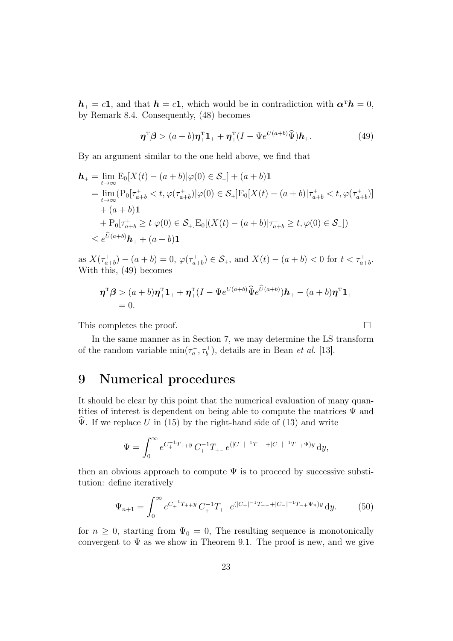$h_+ = c1$ , and that  $h = c1$ , which would be in contradiction with  $\alpha^T h = 0$ , by Remark 8.4. Consequently, (48) becomes

$$
\boldsymbol{\eta}^{\mathrm{T}}\boldsymbol{\beta} > (a+b)\boldsymbol{\eta}^{\mathrm{T}}_{+}1_{+} + \boldsymbol{\eta}^{\mathrm{T}}_{+}(I - \Psi e^{U(a+b)}\widehat{\Psi})\boldsymbol{h}_{+}.
$$
\n(49)

By an argument similar to the one held above, we find that

$$
\begin{split} \mathbf{h}_{+} &= \lim_{t \to \infty} \mathrm{E}_{0}[X(t) - (a+b)|\varphi(0) \in \mathcal{S}_{+}] + (a+b)\mathbf{1} \\ &= \lim_{t \to \infty} (\mathrm{P}_{0}[\tau_{a+b}^{+} < t, \varphi(\tau_{a+b}^{+})|\varphi(0) \in \mathcal{S}_{+}] \mathrm{E}_{0}[X(t) - (a+b)|\tau_{a+b}^{+} < t, \varphi(\tau_{a+b}^{+})] \\ &+ (a+b)\mathbf{1} \\ &+ \mathrm{P}_{0}[\tau_{a+b}^{+} \geq t|\varphi(0) \in \mathcal{S}_{+}] \mathrm{E}_{0}[(X(t) - (a+b)|\tau_{a+b}^{+} \geq t, \varphi(0) \in \mathcal{S}_{-}]) \\ &\leq e^{\widehat{U}(a+b)}\mathbf{h}_{+} + (a+b)\mathbf{1} \end{split}
$$

as  $X(\tau_{a+b}^+) - (a+b) = 0$ ,  $\varphi(\tau_{a+b}^+) \in \mathcal{S}_+$ , and  $X(t) - (a+b) < 0$  for  $t < \tau_{a+b}^+$ . With this, (49) becomes

$$
\boldsymbol{\eta}^{\mathrm{T}}\boldsymbol{\beta} > (a+b)\boldsymbol{\eta}^{\mathrm{T}}_{+}\mathbf{1}_{+} + \boldsymbol{\eta}^{\mathrm{T}}_{+}(I - \Psi e^{U(a+b)}\widehat{\Psi}e^{\widehat{U}(a+b)})\boldsymbol{h}_{+} - (a+b)\boldsymbol{\eta}^{\mathrm{T}}_{+}\mathbf{1}_{+} = 0.
$$

This completes the proof.

In the same manner as in Section 7, we may determine the LS transform of the random variable  $\min(\tau_a^-,\tau_b^+)$ , details are in Bean *et al.* [13].

## 9 Numerical procedures

It should be clear by this point that the numerical evaluation of many quantities of interest is dependent on being able to compute the matrices  $\Psi$  and  $\hat{\Psi}$ . If we replace U in (15) by the right-hand side of (13) and write

$$
\Psi = \int_0^\infty e^{C_+^{-1}T_{++}y} C_+^{-1} T_{+-} e^{(|C_-|^{-1}T_{--}+|C_-|^{-1}T_{-+}\Psi)y} dy,
$$

then an obvious approach to compute  $\Psi$  is to proceed by successive substitution: define iteratively

$$
\Psi_{n+1} = \int_0^\infty e^{C_+^{-1}T_{++}y} C_+^{-1} T_{+-} e^{(|C_-|^{-1}T_{--} + |C_-|^{-1}T_{-+}\Psi_n)y} dy.
$$
(50)

for  $n \geq 0$ , starting from  $\Psi_0 = 0$ , The resulting sequence is monotonically convergent to  $\Psi$  as we show in Theorem 9.1. The proof is new, and we give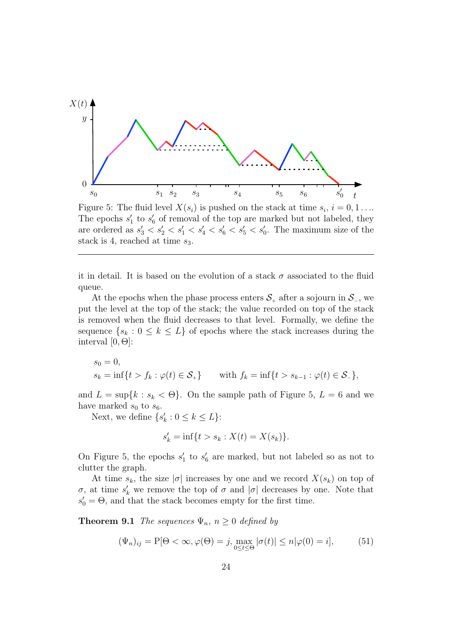

Figure 5: The fluid level  $X(s_i)$  is pushed on the stack at time  $s_i$ ,  $i = 0, 1 \ldots$ The epochs  $s'_1$  to  $s'_6$  of removal of the top are marked but not labeled, they are ordered as  $s'_3 < s'_2 < s'_1 < s'_4 < s'_6 < s'_5 < s'_0$ . The maximum size of the stack is 4, reached at time  $s_3$ .

it in detail. It is based on the evolution of a stack  $\sigma$  associated to the fluid queue.

At the epochs when the phase process enters  $S_+$  after a sojourn in  $S_$ , we put the level at the top of the stack; the value recorded on top of the stack is removed when the fluid decreases to that level. Formally, we define the sequence  $\{s_k : 0 \le k \le L\}$  of epochs where the stack increases during the interval  $[0, \Theta]$ :

$$
s_0 = 0,
$$
  
\n $s_k = \inf\{t > f_k : \varphi(t) \in S_+\}$  with  $f_k = \inf\{t > s_{k-1} : \varphi(t) \in S_-\}$ ,

and  $L = \sup\{k : s_k < \Theta\}$ . On the sample path of Figure 5,  $L = 6$  and we have marked  $s_0$  to  $s_6$ .

Next, we define  $\{s'_k : 0 \le k \le L\}$ :

$$
s'_{k} = \inf\{t > s_{k} : X(t) = X(s_{k})\}.
$$

On Figure 5, the epochs  $s'_1$  to  $s'_6$  are marked, but not labeled so as not to clutter the graph.

At time  $s_k$ , the size  $|\sigma|$  increases by one and we record  $X(s_k)$  on top of σ, at time  $s'_k$  we remove the top of σ and  $|\sigma|$  decreases by one. Note that  $s'_0 = \Theta$ , and that the stack becomes empty for the first time.

**Theorem 9.1** The sequences  $\Psi_n$ ,  $n \geq 0$  defined by

$$
(\Psi_n)_{ij} = P[\Theta < \infty, \varphi(\Theta) = j, \max_{0 \le t \le \Theta} |\sigma(t)| \le n|\varphi(0) = i],\tag{51}
$$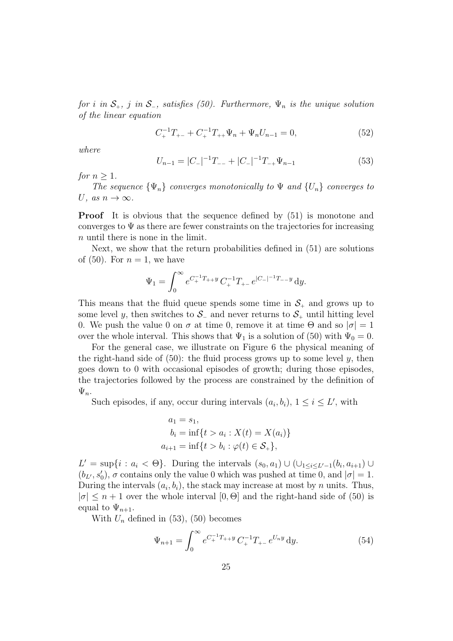for i in  $S_+$ , j in  $S_-$ , satisfies (50). Furthermore,  $\Psi_n$  is the unique solution of the linear equation

$$
C_{+}^{-1}T_{+-} + C_{+}^{-1}T_{++}\Psi_n + \Psi_n U_{n-1} = 0,
$$
\n(52)

where

$$
U_{n-1} = |C_-|^{-1}T_{--} + |C_-|^{-1}T_{-+}\Psi_{n-1}
$$
\n(53)

for  $n \geq 1$ .

The sequence  $\{\Psi_n\}$  converges monotonically to  $\Psi$  and  $\{U_n\}$  converges to U, as  $n \to \infty$ .

**Proof** It is obvious that the sequence defined by  $(51)$  is monotone and converges to  $\Psi$  as there are fewer constraints on the trajectories for increasing n until there is none in the limit.

Next, we show that the return probabilities defined in (51) are solutions of  $(50)$ . For  $n = 1$ , we have

$$
\Psi_1 = \int_0^\infty e^{C_+^{-1}T_{++}y} C_+^{-1} T_{+-} e^{|C_-|^{-1}T_{--}y} dy.
$$

This means that the fluid queue spends some time in  $S_{+}$  and grows up to some level y, then switches to  $\mathcal{S}_-$  and never returns to  $\mathcal{S}_+$  until hitting level 0. We push the value 0 on  $\sigma$  at time 0, remove it at time  $\Theta$  and so  $|\sigma|=1$ over the whole interval. This shows that  $\Psi_1$  is a solution of (50) with  $\Psi_0 = 0$ .

For the general case, we illustrate on Figure 6 the physical meaning of the right-hand side of  $(50)$ : the fluid process grows up to some level y, then goes down to 0 with occasional episodes of growth; during those episodes, the trajectories followed by the process are constrained by the definition of  $\Psi_n$ .

Such episodes, if any, occur during intervals  $(a_i, b_i)$ ,  $1 \le i \le L'$ , with

$$
a_1 = s_1,
$$
  
\n
$$
b_i = \inf\{t > a_i : X(t) = X(a_i)\}
$$
  
\n
$$
a_{i+1} = \inf\{t > b_i : \varphi(t) \in \mathcal{S}_+\},
$$

 $L' = \sup\{i : a_i < \Theta\}$ . During the intervals  $(s_0, a_1) \cup (\cup_{1 \le i \le L'-1} (b_i, a_{i+1}) \cup$  $(b_L, s'_0)$ ,  $\sigma$  contains only the value 0 which was pushed at time 0, and  $|\sigma| = 1$ . During the intervals  $(a_i, b_i)$ , the stack may increase at most by n units. Thus,  $|\sigma| \leq n+1$  over the whole interval  $[0, \Theta]$  and the right-hand side of (50) is equal to  $\Psi_{n+1}$ .

With  $U_n$  defined in (53), (50) becomes

$$
\Psi_{n+1} = \int_0^\infty e^{C_+^{-1}T_{++}y} C_+^{-1} T_{+-} e^{U_n y} dy.
$$
\n(54)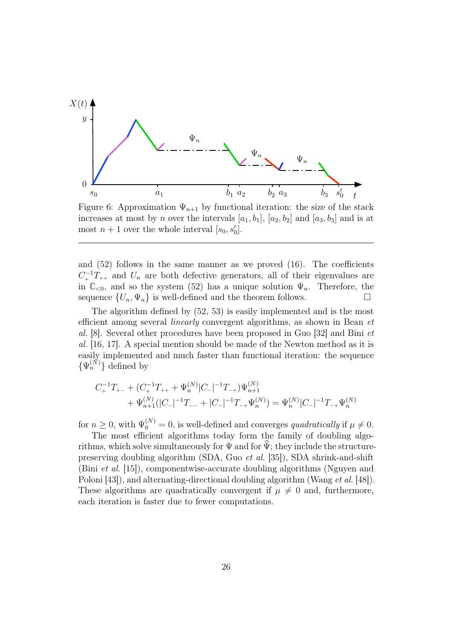

Figure 6: Approximation  $\Psi_{n+1}$  by functional iteration: the size of the stack increases at most by n over the intervals  $[a_1, b_1]$ ,  $[a_2, b_2]$  and  $[a_3, b_3]$  and is at most  $n+1$  over the whole interval  $[s_0, s'_0]$ .

and  $(52)$  follows in the same manner as we proved  $(16)$ . The coefficients  $C_+^{-1}T_{++}$  and  $U_n$  are both defective generators, all of their eigenvalues are in  $\mathbb{C}_{\leq 0}$ , and so the system (52) has a unique solution  $\Psi_n$ . Therefore, the sequence  $\{U_n, \Psi_n\}$  is well-defined and the theorem follows.

The algorithm defined by (52, 53) is easily implemented and is the most efficient among several linearly convergent algorithms, as shown in Bean et al. [8]. Several other procedures have been proposed in Guo [32] and Bini et al. [16, 17]. A special mention should be made of the Newton method as it is easily implemented and much faster than functional iteration: the sequence  $\{\Psi_n^{(\tilde{N})}\}\$ defined by

$$
\begin{aligned} C_+^{-1}T_{+-} + (C_+^{-1}T_{++} + \Psi_n^{(N)}|C_-|^{-1}T_{-+})\Psi_{n+1}^{(N)} \\ &+ \Psi_{n+1}^{(N)}(|C_-|^{-1}T_{--} + |C_-|^{-1}T_{-+}\Psi_n^{(N)}) = \Psi_n^{(N)}|C_-|^{-1}T_{-+}\Psi_n^{(N)} \end{aligned}
$$

for  $n \geq 0$ , with  $\Psi_0^{(N)} = 0$ , is well-defined and converges *quadratically* if  $\mu \neq 0$ .

The most efficient algorithms today form the family of doubling algorithms, which solve simultaneously for  $\Psi$  and for  $\widetilde{\Psi}$ ; they include the structurepreserving doubling algorithm (SDA, Guo et al. [35]), SDA shrink-and-shift (Bini et al. [15]), componentwise-accurate doubling algorithms (Nguyen and Poloni [43]), and alternating-directional doubling algorithm (Wang et al. [48]). These algorithms are quadratically convergent if  $\mu \neq 0$  and, furthermore, each iteration is faster due to fewer computations.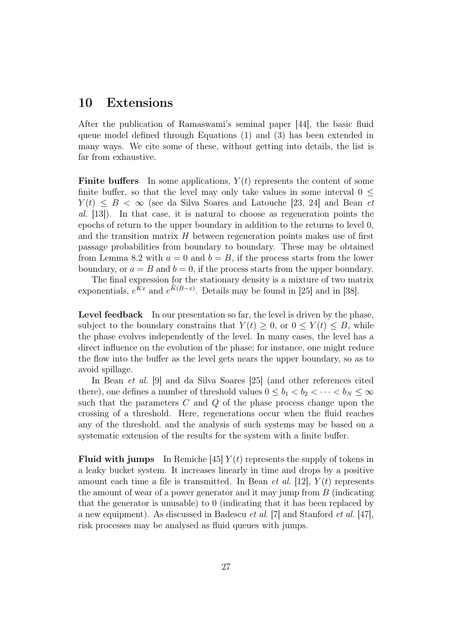## 10 Extensions

After the publication of Ramaswami's seminal paper [44], the basic fluid queue model defined through Equations (1) and (3) has been extended in many ways. We cite some of these, without getting into details, the list is far from exhaustive.

**Finite buffers** In some applications,  $Y(t)$  represents the content of some finite buffer, so that the level may only take values in some interval  $0 \leq$  $Y(t) \leq B < \infty$  (see da Silva Soares and Latouche [23, 24] and Bean *et* al. [13]). In that case, it is natural to choose as regeneration points the epochs of return to the upper boundary in addition to the returns to level 0, and the transition matrix  $H$  between regeneration points makes use of first passage probabilities from boundary to boundary. These may be obtained from Lemma 8.2 with  $a = 0$  and  $b = B$ , if the process starts from the lower boundary, or  $a = B$  and  $b = 0$ , if the process starts from the upper boundary.

The final expression for the stationary density is a mixture of two matrix exponentials,  $e^{Kx}$  and  $e^{K(B-x)}$ . Details may be found in [25] and in [38].

Level feedback In our presentation so far, the level is driven by the phase, subject to the boundary constrains that  $Y(t) \geq 0$ , or  $0 \leq Y(t) \leq B$ , while the phase evolves independently of the level. In many cases, the level has a direct influence on the evolution of the phase; for instance, one might reduce the flow into the buffer as the level gets nears the upper boundary, so as to avoid spillage.

In Bean et al. [9] and da Silva Soares [25] (and other references cited there), one defines a number of threshold values  $0 \le b_1 < b_2 < \cdots < b_N \le \infty$ such that the parameters  $C$  and  $Q$  of the phase process change upon the crossing of a threshold. Here, regenerations occur when the fluid reaches any of the threshold, and the analysis of such systems may be based on a systematic extension of the results for the system with a finite buffer.

**Fluid with jumps** In Remiche [45]  $Y(t)$  represents the supply of tokens in a leaky bucket system. It increases linearly in time and drops by a positive amount each time a file is transmitted. In Bean *et al.* [12],  $Y(t)$  represents the amount of wear of a power generator and it may jump from B (indicating that the generator is unusable) to 0 (indicating that it has been replaced by a new equipment). As discussed in Badescu et al. [7] and Stanford et al. [47], risk processes may be analysed as fluid queues with jumps.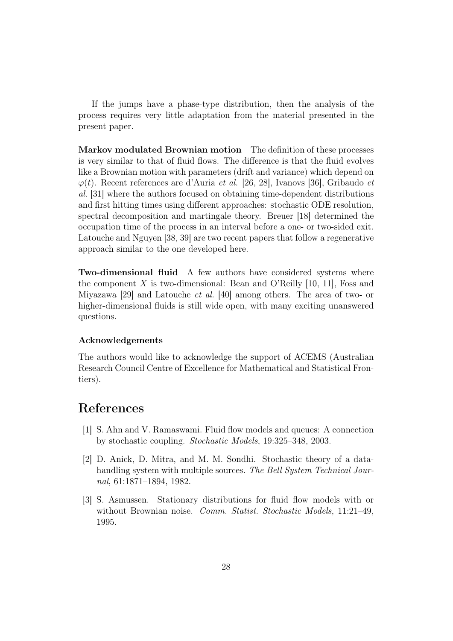If the jumps have a phase-type distribution, then the analysis of the process requires very little adaptation from the material presented in the present paper.

Markov modulated Brownian motion The definition of these processes is very similar to that of fluid flows. The difference is that the fluid evolves like a Brownian motion with parameters (drift and variance) which depend on  $\varphi(t)$ . Recent references are d'Auria *et al.* [26, 28], Ivanovs [36], Gribaudo *et* al. [31] where the authors focused on obtaining time-dependent distributions and first hitting times using different approaches: stochastic ODE resolution, spectral decomposition and martingale theory. Breuer [18] determined the occupation time of the process in an interval before a one- or two-sided exit. Latouche and Nguyen [38, 39] are two recent papers that follow a regenerative approach similar to the one developed here.

Two-dimensional fluid A few authors have considered systems where the component X is two-dimensional: Bean and O'Reilly  $[10, 11]$ , Foss and Miyazawa [29] and Latouche et al. [40] among others. The area of two- or higher-dimensional fluids is still wide open, with many exciting unanswered questions.

#### Acknowledgements

The authors would like to acknowledge the support of ACEMS (Australian Research Council Centre of Excellence for Mathematical and Statistical Frontiers).

# References

- [1] S. Ahn and V. Ramaswami. Fluid flow models and queues: A connection by stochastic coupling. Stochastic Models, 19:325–348, 2003.
- [2] D. Anick, D. Mitra, and M. M. Sondhi. Stochastic theory of a datahandling system with multiple sources. The Bell System Technical Journal, 61:1871–1894, 1982.
- [3] S. Asmussen. Stationary distributions for fluid flow models with or without Brownian noise. Comm. Statist. Stochastic Models, 11:21-49, 1995.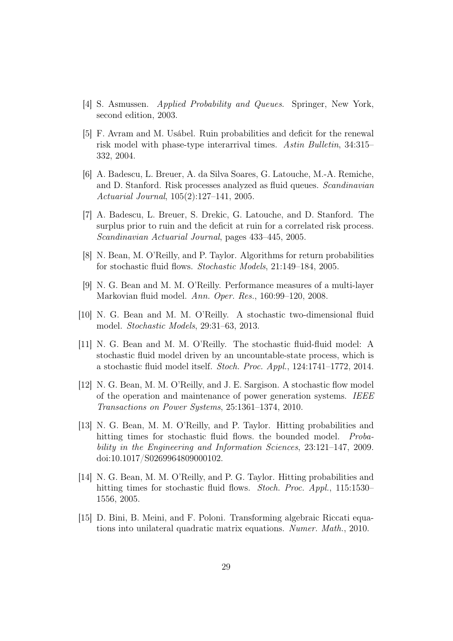- [4] S. Asmussen. Applied Probability and Queues. Springer, New York, second edition, 2003.
- [5] F. Avram and M. Usábel. Ruin probabilities and deficit for the renewal risk model with phase-type interarrival times. Astin Bulletin, 34:315– 332, 2004.
- [6] A. Badescu, L. Breuer, A. da Silva Soares, G. Latouche, M.-A. Remiche, and D. Stanford. Risk processes analyzed as fluid queues. Scandinavian Actuarial Journal, 105(2):127–141, 2005.
- [7] A. Badescu, L. Breuer, S. Drekic, G. Latouche, and D. Stanford. The surplus prior to ruin and the deficit at ruin for a correlated risk process. Scandinavian Actuarial Journal, pages 433–445, 2005.
- [8] N. Bean, M. O'Reilly, and P. Taylor. Algorithms for return probabilities for stochastic fluid flows. Stochastic Models, 21:149–184, 2005.
- [9] N. G. Bean and M. M. O'Reilly. Performance measures of a multi-layer Markovian fluid model. Ann. Oper. Res., 160:99–120, 2008.
- [10] N. G. Bean and M. M. O'Reilly. A stochastic two-dimensional fluid model. Stochastic Models, 29:31–63, 2013.
- [11] N. G. Bean and M. M. O'Reilly. The stochastic fluid-fluid model: A stochastic fluid model driven by an uncountable-state process, which is a stochastic fluid model itself. Stoch. Proc. Appl., 124:1741–1772, 2014.
- [12] N. G. Bean, M. M. O'Reilly, and J. E. Sargison. A stochastic flow model of the operation and maintenance of power generation systems. IEEE Transactions on Power Systems, 25:1361–1374, 2010.
- [13] N. G. Bean, M. M. O'Reilly, and P. Taylor. Hitting probabilities and hitting times for stochastic fluid flows. the bounded model. Probability in the Engineering and Information Sciences, 23:121–147, 2009. doi:10.1017/S0269964809000102.
- [14] N. G. Bean, M. M. O'Reilly, and P. G. Taylor. Hitting probabilities and hitting times for stochastic fluid flows. Stoch. Proc. Appl., 115:1530-1556, 2005.
- [15] D. Bini, B. Meini, and F. Poloni. Transforming algebraic Riccati equations into unilateral quadratic matrix equations. Numer. Math., 2010.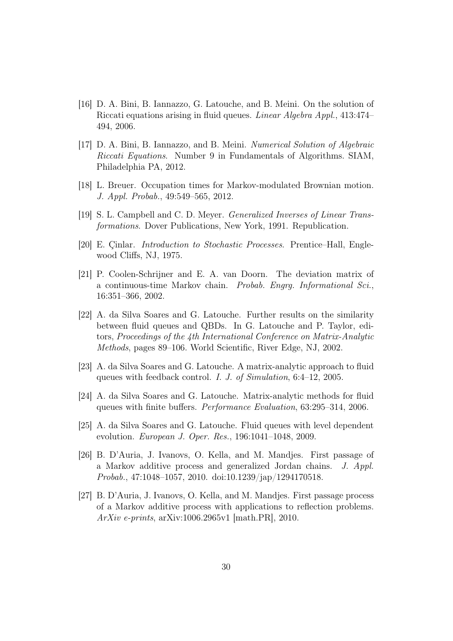- [16] D. A. Bini, B. Iannazzo, G. Latouche, and B. Meini. On the solution of Riccati equations arising in fluid queues. Linear Algebra Appl., 413:474– 494, 2006.
- [17] D. A. Bini, B. Iannazzo, and B. Meini. Numerical Solution of Algebraic Riccati Equations. Number 9 in Fundamentals of Algorithms. SIAM, Philadelphia PA, 2012.
- [18] L. Breuer. Occupation times for Markov-modulated Brownian motion. J. Appl. Probab., 49:549–565, 2012.
- [19] S. L. Campbell and C. D. Meyer. Generalized Inverses of Linear Transformations. Dover Publications, New York, 1991. Republication.
- [20] E. Çinlar. Introduction to Stochastic Processes. Prentice–Hall, Englewood Cliffs, NJ, 1975.
- [21] P. Coolen-Schrijner and E. A. van Doorn. The deviation matrix of a continuous-time Markov chain. Probab. Engrg. Informational Sci., 16:351–366, 2002.
- [22] A. da Silva Soares and G. Latouche. Further results on the similarity between fluid queues and QBDs. In G. Latouche and P. Taylor, editors, Proceedings of the 4th International Conference on Matrix-Analytic Methods, pages 89–106. World Scientific, River Edge, NJ, 2002.
- [23] A. da Silva Soares and G. Latouche. A matrix-analytic approach to fluid queues with feedback control. I. J. of Simulation, 6:4–12, 2005.
- [24] A. da Silva Soares and G. Latouche. Matrix-analytic methods for fluid queues with finite buffers. Performance Evaluation, 63:295–314, 2006.
- [25] A. da Silva Soares and G. Latouche. Fluid queues with level dependent evolution. European J. Oper. Res., 196:1041–1048, 2009.
- [26] B. D'Auria, J. Ivanovs, O. Kella, and M. Mandjes. First passage of a Markov additive process and generalized Jordan chains. J. Appl. Probab., 47:1048–1057, 2010. doi:10.1239/jap/1294170518.
- [27] B. D'Auria, J. Ivanovs, O. Kella, and M. Mandjes. First passage process of a Markov additive process with applications to reflection problems. ArXiv e-prints, arXiv:1006.2965v1 [math.PR], 2010.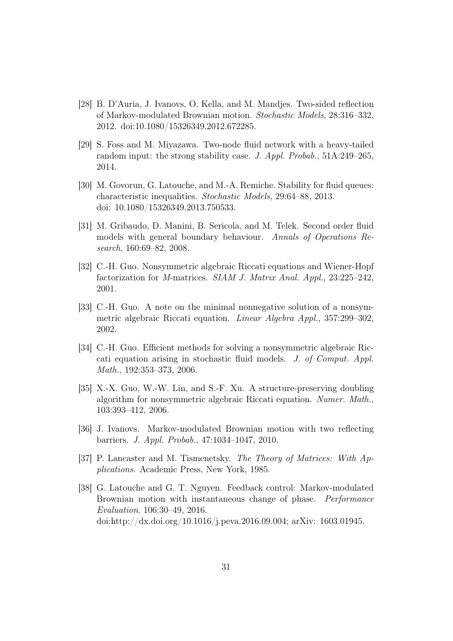- [28] B. D'Auria, J. Ivanovs, O. Kella, and M. Mandjes. Two-sided reflection of Markov-modulated Brownian motion. Stochastic Models, 28:316–332, 2012. doi:10.1080/15326349.2012.672285.
- [29] S. Foss and M. Miyazawa. Two-node fluid network with a heavy-tailed random input: the strong stability case. J. Appl. Probab., 51A:249–265, 2014.
- [30] M. Govorun, G. Latouche, and M.-A. Remiche. Stability for fluid queues: characteristic inequalities. Stochastic Models, 29:64–88, 2013. doi: 10.1080/15326349.2013.750533.
- [31] M. Gribaudo, D. Manini, B. Sericola, and M. Telek. Second order fluid models with general boundary behaviour. Annals of Operations Research, 160:69–82, 2008.
- [32] C.-H. Guo. Nonsymmetric algebraic Riccati equations and Wiener-Hopf factorization for M-matrices. SIAM J. Matrix Anal. Appl., 23:225–242, 2001.
- [33] C.-H. Guo. A note on the minimal nonnegative solution of a nonsymmetric algebraic Riccati equation. Linear Algebra Appl., 357:299–302, 2002.
- [34] C.-H. Guo. Efficient methods for solving a nonsymmetric algebraic Riccati equation arising in stochastic fluid models. J. of Comput. Appl. Math., 192:353–373, 2006.
- [35] X.-X. Guo, W.-W. Lin, and S.-F. Xu. A structure-preserving doubling algorithm for nonsymmetric algebraic Riccati equation. Numer. Math., 103:393–412, 2006.
- [36] J. Ivanovs. Markov-modulated Brownian motion with two reflecting barriers. J. Appl. Probab., 47:1034–1047, 2010.
- [37] P. Lancaster and M. Tismenetsky. The Theory of Matrices: With Applications. Academic Press, New York, 1985.
- [38] G. Latouche and G. T. Nguyen. Feedback control: Markov-modulated Brownian motion with instantaneous change of phase. Performance Evaluation, 106:30–49, 2016. doi:http://dx.doi.org/10.1016/j.peva.2016.09.004; arXiv: 1603.01945.